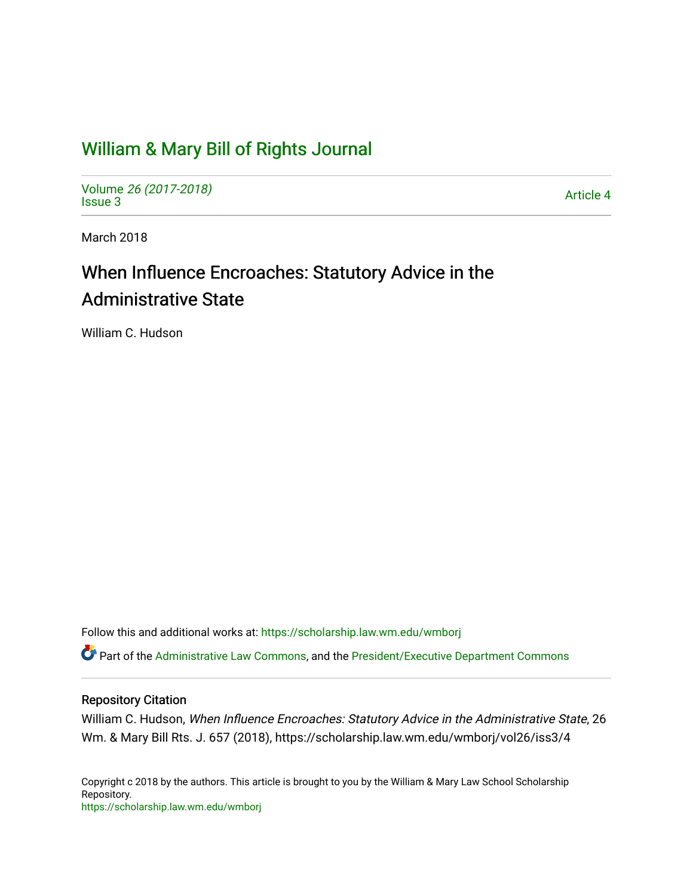## [William & Mary Bill of Rights Journal](https://scholarship.law.wm.edu/wmborj)

Volume [26 \(2017-2018\)](https://scholarship.law.wm.edu/wmborj/vol26)  volume 20 (2017-2010)<br>[Issue 3](https://scholarship.law.wm.edu/wmborj/vol26/iss3) Article 4

March 2018

# When Influence Encroaches: Statutory Advice in the Administrative State

William C. Hudson

Follow this and additional works at: [https://scholarship.law.wm.edu/wmborj](https://scholarship.law.wm.edu/wmborj?utm_source=scholarship.law.wm.edu%2Fwmborj%2Fvol26%2Fiss3%2F4&utm_medium=PDF&utm_campaign=PDFCoverPages) 

Part of the [Administrative Law Commons,](http://network.bepress.com/hgg/discipline/579?utm_source=scholarship.law.wm.edu%2Fwmborj%2Fvol26%2Fiss3%2F4&utm_medium=PDF&utm_campaign=PDFCoverPages) and the [President/Executive Department Commons](http://network.bepress.com/hgg/discipline/1118?utm_source=scholarship.law.wm.edu%2Fwmborj%2Fvol26%2Fiss3%2F4&utm_medium=PDF&utm_campaign=PDFCoverPages)

## Repository Citation

William C. Hudson, When Influence Encroaches: Statutory Advice in the Administrative State, 26 Wm. & Mary Bill Rts. J. 657 (2018), https://scholarship.law.wm.edu/wmborj/vol26/iss3/4

Copyright c 2018 by the authors. This article is brought to you by the William & Mary Law School Scholarship Repository. <https://scholarship.law.wm.edu/wmborj>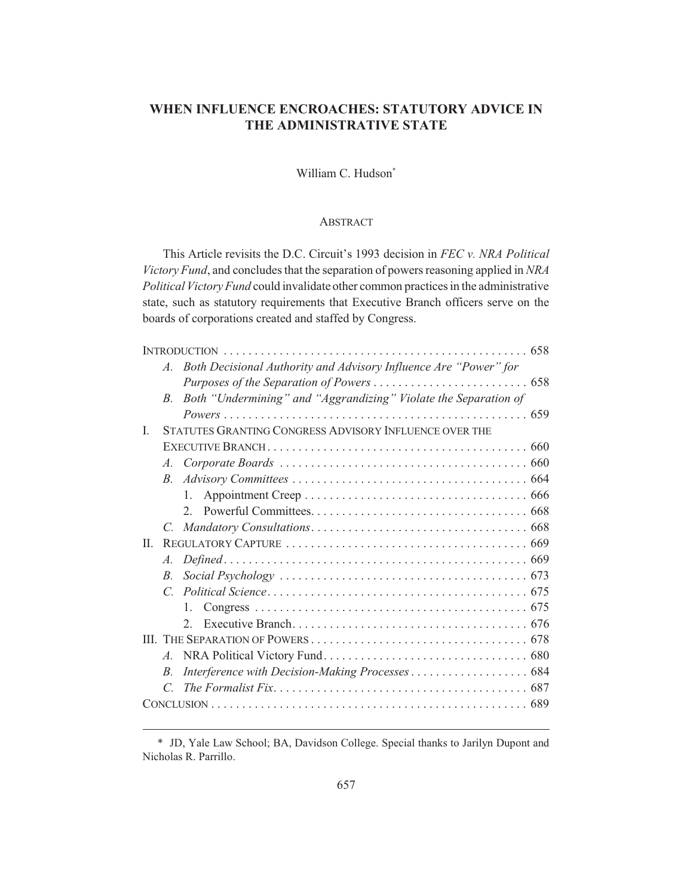## **WHEN INFLUENCE ENCROACHES: STATUTORY ADVICE IN THE ADMINISTRATIVE STATE**

## William C. Hudson<sup>\*</sup>

#### ABSTRACT

This Article revisits the D.C. Circuit's 1993 decision in *FEC v. NRA Political Victory Fund*, and concludes that the separation of powers reasoning applied in *NRA Political Victory Fund* could invalidate other common practices in the administrative state, such as statutory requirements that Executive Branch officers serve on the boards of corporations created and staffed by Congress.

|         | $A_{\cdot}$                                            | Both Decisional Authority and Advisory Influence Are "Power" for                                                   |  |  |
|---------|--------------------------------------------------------|--------------------------------------------------------------------------------------------------------------------|--|--|
|         |                                                        |                                                                                                                    |  |  |
|         | $B_{\cdot}$                                            | Both "Undermining" and "Aggrandizing" Violate the Separation of                                                    |  |  |
|         |                                                        |                                                                                                                    |  |  |
| L       | STATUTES GRANTING CONGRESS ADVISORY INFLUENCE OVER THE |                                                                                                                    |  |  |
|         |                                                        |                                                                                                                    |  |  |
|         |                                                        |                                                                                                                    |  |  |
|         | $B_{\cdot}$                                            |                                                                                                                    |  |  |
|         |                                                        | $1_{\ldots}$                                                                                                       |  |  |
|         |                                                        | $2^{2}$                                                                                                            |  |  |
|         |                                                        |                                                                                                                    |  |  |
| $\Pi$ . |                                                        |                                                                                                                    |  |  |
|         | $A_{\cdot}$                                            |                                                                                                                    |  |  |
|         | $B_{\cdot}$                                            | Social Psychology $\ldots \ldots \ldots \ldots \ldots \ldots \ldots \ldots \ldots \ldots \ldots \ldots \ldots$ 673 |  |  |
|         |                                                        |                                                                                                                    |  |  |
|         |                                                        | $1_{-}$                                                                                                            |  |  |
|         |                                                        | $2^{\circ}$                                                                                                        |  |  |
|         |                                                        |                                                                                                                    |  |  |
|         |                                                        |                                                                                                                    |  |  |
|         | $B_{\cdot}$                                            | Interference with Decision-Making Processes 684                                                                    |  |  |
|         |                                                        |                                                                                                                    |  |  |
|         |                                                        |                                                                                                                    |  |  |

<sup>\*</sup> JD, Yale Law School; BA, Davidson College. Special thanks to Jarilyn Dupont and Nicholas R. Parrillo.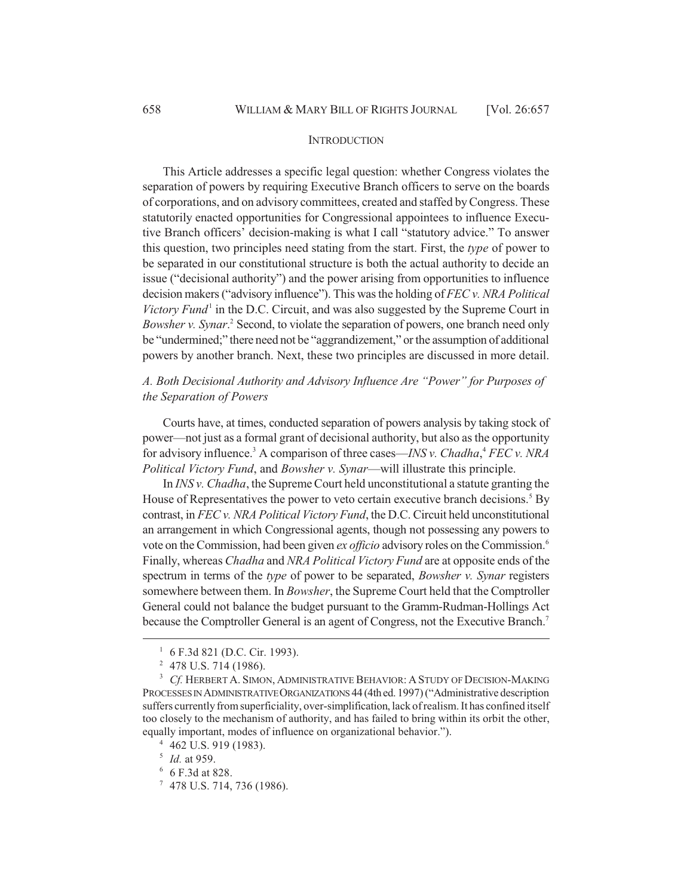#### **INTRODUCTION**

This Article addresses a specific legal question: whether Congress violates the separation of powers by requiring Executive Branch officers to serve on the boards of corporations, and on advisory committees, created and staffed by Congress. These statutorily enacted opportunities for Congressional appointees to influence Executive Branch officers' decision-making is what I call "statutory advice." To answer this question, two principles need stating from the start. First, the *type* of power to be separated in our constitutional structure is both the actual authority to decide an issue ("decisional authority") and the power arising from opportunities to influence decision makers ("advisory influence"). This was the holding of *FEC v. NRA Political* Victory Fund<sup>1</sup> in the D.C. Circuit, and was also suggested by the Supreme Court in Bowsher v. Synar.<sup>2</sup> Second, to violate the separation of powers, one branch need only be "undermined;" there need not be "aggrandizement," or the assumption of additional powers by another branch. Next, these two principles are discussed in more detail.

*A. Both Decisional Authority and Advisory Influence Are "Power" for Purposes of the Separation of Powers*

Courts have, at times, conducted separation of powers analysis by taking stock of power—not just as a formal grant of decisional authority, but also as the opportunity for advisory influence.<sup>3</sup> A comparison of three cases—*INS v. Chadha*,<sup>4</sup> *FEC v. NRA Political Victory Fund*, and *Bowsher v. Synar*—will illustrate this principle.

In *INS v. Chadha*, the Supreme Court held unconstitutional a statute granting the House of Representatives the power to veto certain executive branch decisions.<sup>5</sup> By contrast, in *FEC v. NRA Political Victory Fund*, the D.C. Circuit held unconstitutional an arrangement in which Congressional agents, though not possessing any powers to vote on the Commission, had been given *ex officio* advisory roles on the Commission.<sup>6</sup> Finally, whereas *Chadha* and *NRA Political Victory Fund* are at opposite ends of the spectrum in terms of the *type* of power to be separated, *Bowsher v. Synar* registers somewhere between them. In *Bowsher*, the Supreme Court held that the Comptroller General could not balance the budget pursuant to the Gramm-Rudman-Hollings Act because the Comptroller General is an agent of Congress, not the Executive Branch.<sup>7</sup>

 $1\,$  6 F.3d 821 (D.C. Cir. 1993).

<sup>2</sup> 478 U.S. 714 (1986).

<sup>3</sup> *Cf.* HERBERT A. SIMON, ADMINISTRATIVE BEHAVIOR: A STUDY OF DECISION-MAKING PROCESSES IN ADMINISTRATIVE ORGANIZATIONS 44 (4th ed. 1997) ("Administrative description suffers currently from superficiality, over-simplification, lack of realism. It has confined itself too closely to the mechanism of authority, and has failed to bring within its orbit the other, equally important, modes of influence on organizational behavior.").

<sup>4</sup> 462 U.S. 919 (1983).

<sup>5</sup> *Id.* at 959.

 $^{\rm 6}$  6 F.3d at 828.

 $7$  478 U.S. 714, 736 (1986).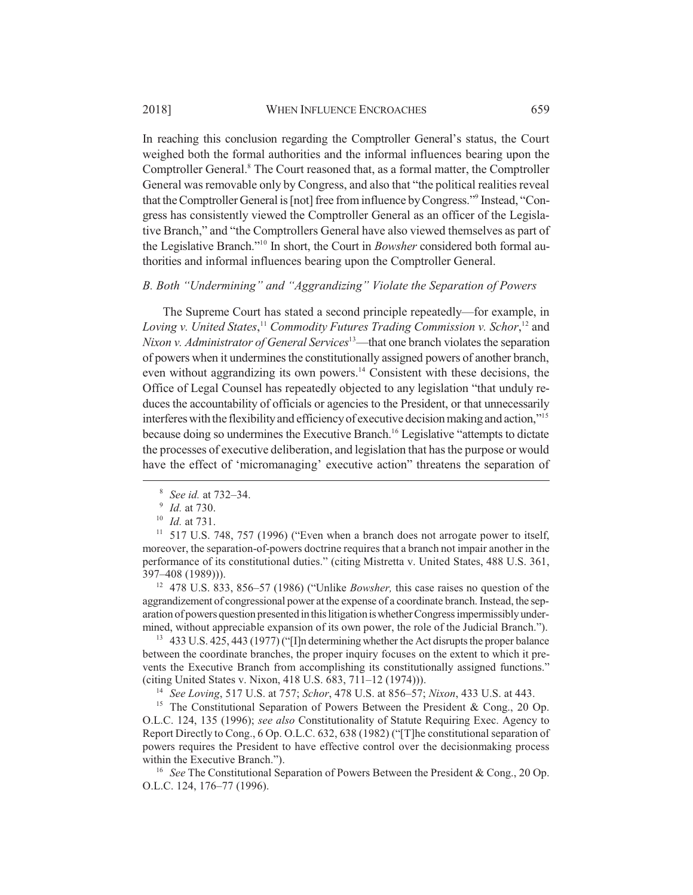In reaching this conclusion regarding the Comptroller General's status, the Court weighed both the formal authorities and the informal influences bearing upon the Comptroller General.<sup>8</sup> The Court reasoned that, as a formal matter, the Comptroller General was removable only by Congress, and also that "the political realities reveal that the Comptroller General is [not] free from influence by Congress."9 Instead, "Congress has consistently viewed the Comptroller General as an officer of the Legisla-

tive Branch," and "the Comptrollers General have also viewed themselves as part of the Legislative Branch."10 In short, the Court in *Bowsher* considered both formal authorities and informal influences bearing upon the Comptroller General.

## *B. Both "Undermining" and "Aggrandizing" Violate the Separation of Powers*

The Supreme Court has stated a second principle repeatedly—for example, in *Loving v. United States*, <sup>11</sup> *Commodity Futures Trading Commission v. Schor*, 12 and *Nixon v. Administrator of General Services*<sup>13</sup>—that one branch violates the separation of powers when it undermines the constitutionally assigned powers of another branch, even without aggrandizing its own powers.<sup>14</sup> Consistent with these decisions, the Office of Legal Counsel has repeatedly objected to any legislation "that unduly reduces the accountability of officials or agencies to the President, or that unnecessarily interferes with the flexibility and efficiency of executive decision making and action,"15 because doing so undermines the Executive Branch.<sup>16</sup> Legislative "attempts to dictate the processes of executive deliberation, and legislation that has the purpose or would have the effect of 'micromanaging' executive action" threatens the separation of

<sup>12</sup> 478 U.S. 833, 856–57 (1986) ("Unlike *Bowsher,* this case raises no question of the aggrandizement of congressional power at the expense of a coordinate branch. Instead, the separation of powers question presented in this litigation is whether Congress impermissibly undermined, without appreciable expansion of its own power, the role of the Judicial Branch.").

<sup>13</sup> 433 U.S. 425, 443 (1977) ("I]n determining whether the Act disrupts the proper balance between the coordinate branches, the proper inquiry focuses on the extent to which it prevents the Executive Branch from accomplishing its constitutionally assigned functions." (citing United States v. Nixon, 418 U.S. 683, 711–12 (1974))).

<sup>14</sup> *See Loving*, 517 U.S. at 757; *Schor*, 478 U.S. at 856–57; *Nixon*, 433 U.S. at 443.

<sup>15</sup> The Constitutional Separation of Powers Between the President & Cong., 20 Op. O.L.C. 124, 135 (1996); *see also* Constitutionality of Statute Requiring Exec. Agency to Report Directly to Cong., 6 Op. O.L.C. 632, 638 (1982) ("[T]he constitutional separation of powers requires the President to have effective control over the decisionmaking process within the Executive Branch.").

<sup>16</sup> *See* The Constitutional Separation of Powers Between the President & Cong., 20 Op. O.L.C. 124, 176–77 (1996).

<sup>8</sup> *See id.* at 732–34.

<sup>9</sup> *Id.* at 730.

<sup>10</sup> *Id.* at 731.

 $11$  517 U.S. 748, 757 (1996) ("Even when a branch does not arrogate power to itself, moreover, the separation-of-powers doctrine requires that a branch not impair another in the performance of its constitutional duties." (citing Mistretta v. United States, 488 U.S. 361, 397–408 (1989))).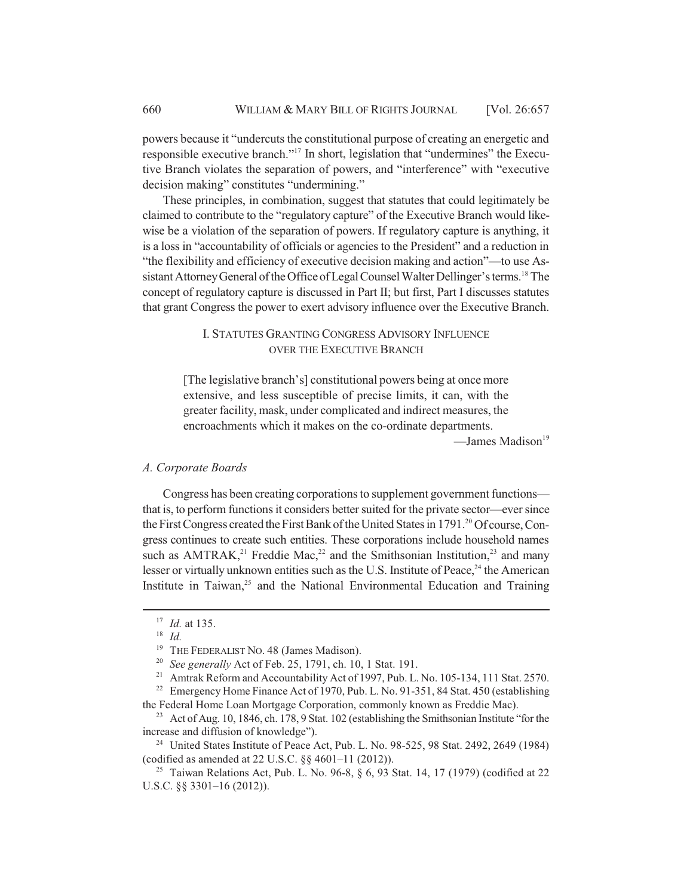powers because it "undercuts the constitutional purpose of creating an energetic and responsible executive branch."17 In short, legislation that "undermines" the Executive Branch violates the separation of powers, and "interference" with "executive decision making" constitutes "undermining."

These principles, in combination, suggest that statutes that could legitimately be claimed to contribute to the "regulatory capture" of the Executive Branch would likewise be a violation of the separation of powers. If regulatory capture is anything, it is a loss in "accountability of officials or agencies to the President" and a reduction in "the flexibility and efficiency of executive decision making and action"—to use Assistant Attorney General of the Office of Legal Counsel Walter Dellinger's terms.<sup>18</sup> The concept of regulatory capture is discussed in Part II; but first, Part I discusses statutes that grant Congress the power to exert advisory influence over the Executive Branch.

## I. STATUTES GRANTING CONGRESS ADVISORY INFLUENCE OVER THE EXECUTIVE BRANCH

[The legislative branch's] constitutional powers being at once more extensive, and less susceptible of precise limits, it can, with the greater facility, mask, under complicated and indirect measures, the encroachments which it makes on the co-ordinate departments. —James Madison<sup>19</sup>

#### *A. Corporate Boards*

Congress has been creating corporations to supplement government functions that is, to perform functions it considers better suited for the private sector—ever since the First Congress created the First Bank of the United States in 1791.<sup>20</sup> Of course, Congress continues to create such entities. These corporations include household names such as  $AMTRAK$ ,<sup>21</sup> Freddie Mac,<sup>22</sup> and the Smithsonian Institution,<sup>23</sup> and many lesser or virtually unknown entities such as the U.S. Institute of Peace,<sup>24</sup> the American Institute in Taiwan, $25$  and the National Environmental Education and Training

<sup>17</sup> *Id.* at 135.

<sup>18</sup> *Id.*

<sup>&</sup>lt;sup>19</sup> THE FEDERALIST NO. 48 (James Madison).

<sup>20</sup> *See generally* Act of Feb. 25, 1791, ch. 10, 1 Stat. 191.

<sup>&</sup>lt;sup>21</sup> Amtrak Reform and Accountability Act of 1997, Pub. L. No. 105-134, 111 Stat. 2570.

<sup>&</sup>lt;sup>22</sup> Emergency Home Finance Act of 1970, Pub. L. No. 91-351, 84 Stat. 450 (establishing the Federal Home Loan Mortgage Corporation, commonly known as Freddie Mac).

<sup>&</sup>lt;sup>23</sup> Act of Aug. 10, 1846, ch. 178, 9 Stat. 102 (establishing the Smithsonian Institute "for the increase and diffusion of knowledge").

<sup>&</sup>lt;sup>24</sup> United States Institute of Peace Act, Pub. L. No.  $98-525$ ,  $98$  Stat. 2492, 2649 (1984) (codified as amended at 22 U.S.C. §§ 4601–11 (2012)).

<sup>&</sup>lt;sup>25</sup> Taiwan Relations Act, Pub. L. No. 96-8,  $\S 6$ , 93 Stat. 14, 17 (1979) (codified at 22 U.S.C. §§ 3301–16 (2012)).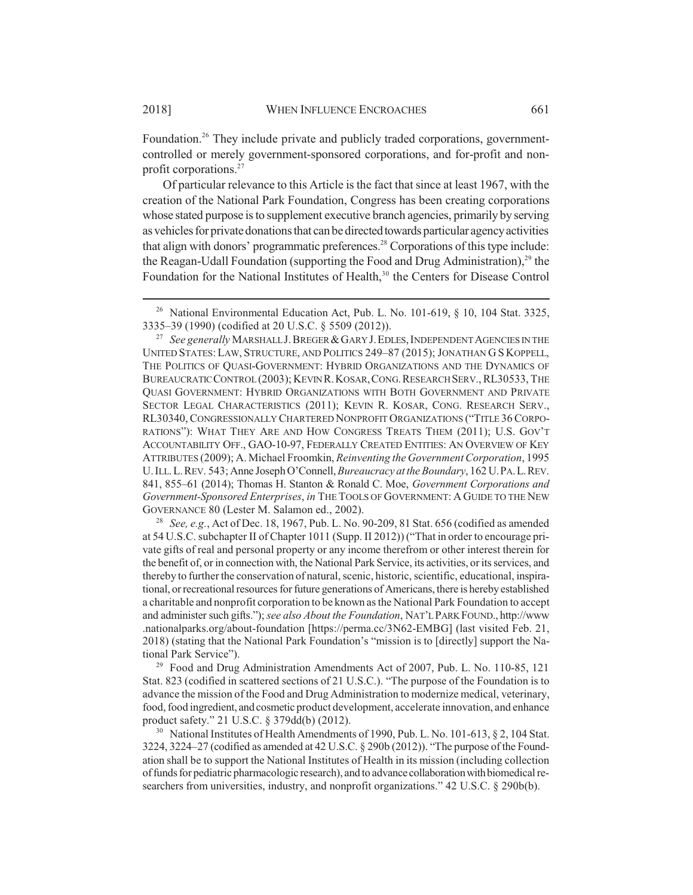Foundation.<sup>26</sup> They include private and publicly traded corporations, governmentcontrolled or merely government-sponsored corporations, and for-profit and nonprofit corporations.27

Of particular relevance to this Article is the fact that since at least 1967, with the creation of the National Park Foundation, Congress has been creating corporations whose stated purpose is to supplement executive branch agencies, primarily by serving as vehicles for private donations that can be directed towards particular agency activities that align with donors' programmatic preferences.<sup>28</sup> Corporations of this type include: the Reagan-Udall Foundation (supporting the Food and Drug Administration),<sup>29</sup> the Foundation for the National Institutes of Health,<sup>30</sup> the Centers for Disease Control

<sup>28</sup> *See, e.g.*, Act of Dec. 18, 1967, Pub. L. No. 90-209, 81 Stat. 656 (codified as amended at 54 U.S.C. subchapter II of Chapter 1011 (Supp. II 2012)) ("That in order to encourage private gifts of real and personal property or any income therefrom or other interest therein for the benefit of, or in connection with, the National Park Service, its activities, or its services, and thereby to further the conservation of natural, scenic, historic, scientific, educational, inspirational, or recreational resources for future generations of Americans, there is hereby established a charitable and nonprofit corporation to be known as the National Park Foundation to accept and administer such gifts."); *see also About the Foundation*, NAT'L PARK FOUND., http://www .nationalparks.org/about-foundation [https://perma.cc/3N62-EMBG] (last visited Feb. 21, 2018) (stating that the National Park Foundation's "mission is to [directly] support the National Park Service").

 $29$  Food and Drug Administration Amendments Act of 2007, Pub. L. No. 110-85, 121 Stat. 823 (codified in scattered sections of 21 U.S.C.). "The purpose of the Foundation is to advance the mission of the Food and Drug Administration to modernize medical, veterinary, food, food ingredient, and cosmetic product development, accelerate innovation, and enhance product safety." 21 U.S.C. § 379dd(b) (2012).

<sup>30</sup> National Institutes of Health Amendments of 1990, Pub. L. No. 101-613, § 2, 104 Stat. 3224, 3224–27 (codified as amended at 42 U.S.C. § 290b (2012)). "The purpose of the Foundation shall be to support the National Institutes of Health in its mission (including collection of funds for pediatric pharmacologic research), and to advance collaboration with biomedical researchers from universities, industry, and nonprofit organizations." 42 U.S.C. § 290b(b).

<sup>&</sup>lt;sup>26</sup> National Environmental Education Act, Pub. L. No. 101-619,  $\S$  10, 104 Stat. 3325, 3335–39 (1990) (codified at 20 U.S.C. § 5509 (2012)).

<sup>&</sup>lt;sup>27</sup> *See generally* MARSHALL J. BREGER & GARY J. EDLES, INDEPENDENT AGENCIES IN THE UNITED STATES:LAW, STRUCTURE, AND POLITICS 249–87 (2015); JONATHAN G S KOPPELL, THE POLITICS OF QUASI-GOVERNMENT: HYBRID ORGANIZATIONS AND THE DYNAMICS OF BUREAUCRATIC CONTROL (2003); KEVIN R.KOSAR,CONG.RESEARCH SERV., RL30533, THE QUASI GOVERNMENT: HYBRID ORGANIZATIONS WITH BOTH GOVERNMENT AND PRIVATE SECTOR LEGAL CHARACTERISTICS (2011); KEVIN R. KOSAR, CONG. RESEARCH SERV., RL30340,CONGRESSIONALLY CHARTERED NONPROFIT ORGANIZATIONS ("TITLE 36CORPO-RATIONS"): WHAT THEY ARE AND HOW CONGRESS TREATS THEM (2011); U.S. GOV'T ACCOUNTABILITY OFF., GAO-10-97, FEDERALLY CREATED ENTITIES: AN OVERVIEW OF KEY ATTRIBUTES (2009); A. Michael Froomkin, *Reinventing the Government Corporation*, 1995 U.ILL.L.REV. 543; Anne Joseph O'Connell, *Bureaucracy at the Boundary*, 162 U.PA.L.REV. 841, 855–61 (2014); Thomas H. Stanton & Ronald C. Moe, *Government Corporations and Government-Sponsored Enterprises*, *in* THE TOOLS OF GOVERNMENT: A GUIDE TO THE NEW GOVERNANCE 80 (Lester M. Salamon ed., 2002).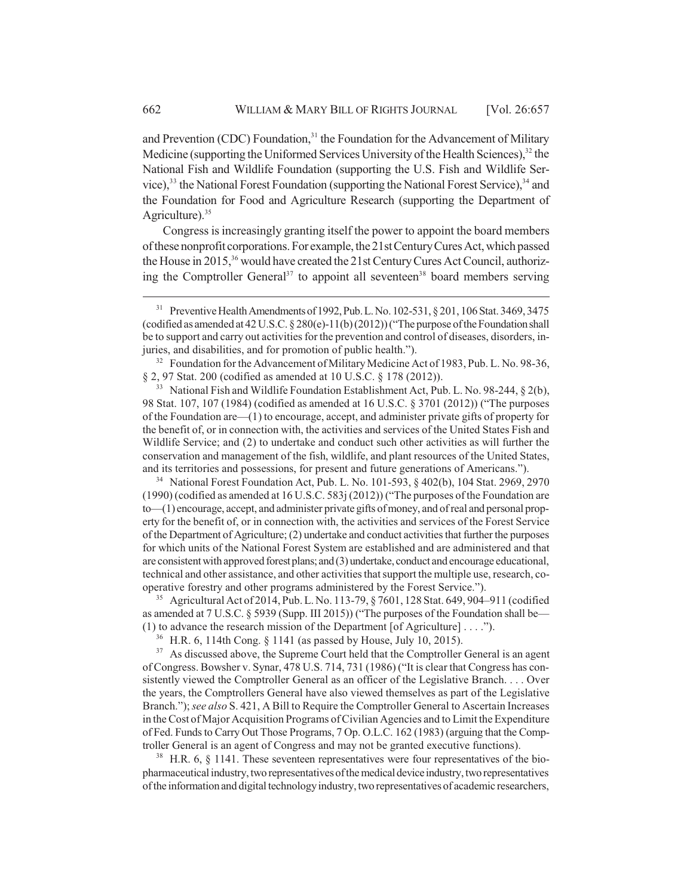and Prevention (CDC) Foundation,<sup>31</sup> the Foundation for the Advancement of Military Medicine (supporting the Uniformed Services University of the Health Sciences), $32$  the National Fish and Wildlife Foundation (supporting the U.S. Fish and Wildlife Service), $33$  the National Forest Foundation (supporting the National Forest Service), $34$  and the Foundation for Food and Agriculture Research (supporting the Department of Agriculture). $35$ 

Congress is increasingly granting itself the power to appoint the board members of these nonprofit corporations. For example, the 21st Century Cures Act, which passed the House in 2015,<sup>36</sup> would have created the 21st Century Cures Act Council, authorizing the Comptroller General<sup>37</sup> to appoint all seventeen<sup>38</sup> board members serving

<sup>32</sup> Foundation for the Advancement of Military Medicine Act of 1983, Pub. L. No. 98-36, § 2, 97 Stat. 200 (codified as amended at 10 U.S.C. § 178 (2012)).

<sup>33</sup> National Fish and Wildlife Foundation Establishment Act, Pub. L. No. 98-244, § 2(b), 98 Stat. 107, 107 (1984) (codified as amended at 16 U.S.C. § 3701 (2012)) ("The purposes of the Foundation are—(1) to encourage, accept, and administer private gifts of property for the benefit of, or in connection with, the activities and services of the United States Fish and Wildlife Service; and (2) to undertake and conduct such other activities as will further the conservation and management of the fish, wildlife, and plant resources of the United States, and its territories and possessions, for present and future generations of Americans.").

<sup>34</sup> National Forest Foundation Act, Pub. L. No. 101-593, § 402(b), 104 Stat. 2969, 2970 (1990) (codified as amended at 16 U.S.C. 583j (2012)) ("The purposes of the Foundation are to—(1) encourage, accept, and administer private gifts of money, and of real and personal property for the benefit of, or in connection with, the activities and services of the Forest Service of the Department of Agriculture; (2) undertake and conduct activities that further the purposes for which units of the National Forest System are established and are administered and that are consistent with approved forest plans; and (3) undertake, conduct and encourage educational, technical and other assistance, and other activities that support the multiple use, research, cooperative forestry and other programs administered by the Forest Service.").

<sup>35</sup> Agricultural Act of 2014, Pub. L. No. 113-79, § 7601, 128 Stat. 649, 904–911 (codified as amended at 7 U.S.C. § 5939 (Supp. III 2015)) ("The purposes of the Foundation shall be— (1) to advance the research mission of the Department [of Agriculture] . . . .").

<sup>36</sup> H.R. 6, 114th Cong. § 1141 (as passed by House, July 10, 2015).

<sup>37</sup> As discussed above, the Supreme Court held that the Comptroller General is an agent of Congress. Bowsher v. Synar, 478 U.S. 714, 731 (1986) ("It is clear that Congress has consistently viewed the Comptroller General as an officer of the Legislative Branch. . . . Over the years, the Comptrollers General have also viewed themselves as part of the Legislative Branch."); *see also* S. 421, A Bill to Require the Comptroller General to Ascertain Increases in the Cost of Major Acquisition Programs of Civilian Agencies and to Limit the Expenditure of Fed. Funds to Carry Out Those Programs, 7 Op. O.L.C. 162 (1983) (arguing that the Comptroller General is an agent of Congress and may not be granted executive functions).

 $38$  H.R. 6,  $\S$  1141. These seventeen representatives were four representatives of the biopharmaceutical industry, two representatives of the medical device industry, two representatives of the information and digital technology industry, two representatives of academic researchers,

<sup>&</sup>lt;sup>31</sup> Preventive Health Amendments of 1992, Pub. L. No. 102-531, § 201, 106 Stat. 3469, 3475 (codified as amended at 42 U.S.C. § 280(e)-11(b) (2012)) ("The purpose of the Foundation shall be to support and carry out activities for the prevention and control of diseases, disorders, injuries, and disabilities, and for promotion of public health.").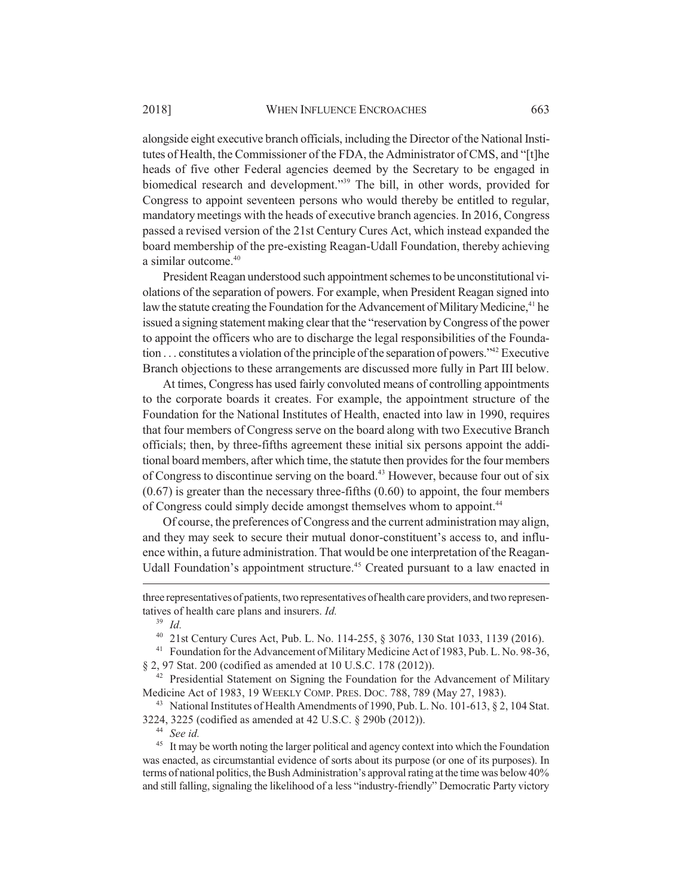alongside eight executive branch officials, including the Director of the National Institutes of Health, the Commissioner of the FDA, the Administrator of CMS, and "[t]he heads of five other Federal agencies deemed by the Secretary to be engaged in biomedical research and development."<sup>39</sup> The bill, in other words, provided for Congress to appoint seventeen persons who would thereby be entitled to regular, mandatory meetings with the heads of executive branch agencies. In 2016, Congress passed a revised version of the 21st Century Cures Act, which instead expanded the board membership of the pre-existing Reagan-Udall Foundation, thereby achieving a similar outcome.<sup>40</sup>

President Reagan understood such appointment schemes to be unconstitutional violations of the separation of powers. For example, when President Reagan signed into law the statute creating the Foundation for the Advancement of Military Medicine,<sup>41</sup> he issued a signing statement making clear that the "reservation by Congress of the power to appoint the officers who are to discharge the legal responsibilities of the Foundation  $\dots$  constitutes a violation of the principle of the separation of powers."<sup>42</sup> Executive Branch objections to these arrangements are discussed more fully in Part III below.

At times, Congress has used fairly convoluted means of controlling appointments to the corporate boards it creates. For example, the appointment structure of the Foundation for the National Institutes of Health, enacted into law in 1990, requires that four members of Congress serve on the board along with two Executive Branch officials; then, by three-fifths agreement these initial six persons appoint the additional board members, after which time, the statute then provides for the four members of Congress to discontinue serving on the board.<sup>43</sup> However, because four out of six  $(0.67)$  is greater than the necessary three-fifths  $(0.60)$  to appoint, the four members of Congress could simply decide amongst themselves whom to appoint.<sup>44</sup>

Of course, the preferences of Congress and the current administration may align, and they may seek to secure their mutual donor-constituent's access to, and influence within, a future administration. That would be one interpretation of the Reagan-Udall Foundation's appointment structure.<sup>45</sup> Created pursuant to a law enacted in

<sup>41</sup> Foundation for the Advancement of Military Medicine Act of 1983, Pub. L. No. 98-36, § 2, 97 Stat. 200 (codified as amended at 10 U.S.C. 178 (2012)).

three representatives of patients, two representatives of health care providers, and two representatives of health care plans and insurers. *Id.*

<sup>39</sup> *Id.*

<sup>40</sup> 21st Century Cures Act, Pub. L. No. 114-255, § 3076, 130 Stat 1033, 1139 (2016).

<sup>&</sup>lt;sup>42</sup> Presidential Statement on Signing the Foundation for the Advancement of Military Medicine Act of 1983, 19 WEEKLY COMP. PRES. DOC. 788, 789 (May 27, 1983).

<sup>&</sup>lt;sup>43</sup> National Institutes of Health Amendments of 1990, Pub. L. No. 101-613, § 2, 104 Stat. 3224, 3225 (codified as amended at 42 U.S.C. § 290b (2012)).

<sup>44</sup> *See id.*

<sup>&</sup>lt;sup>45</sup> It may be worth noting the larger political and agency context into which the Foundation was enacted, as circumstantial evidence of sorts about its purpose (or one of its purposes). In terms of national politics, the Bush Administration's approval rating at the time was below 40% and still falling, signaling the likelihood of a less "industry-friendly" Democratic Party victory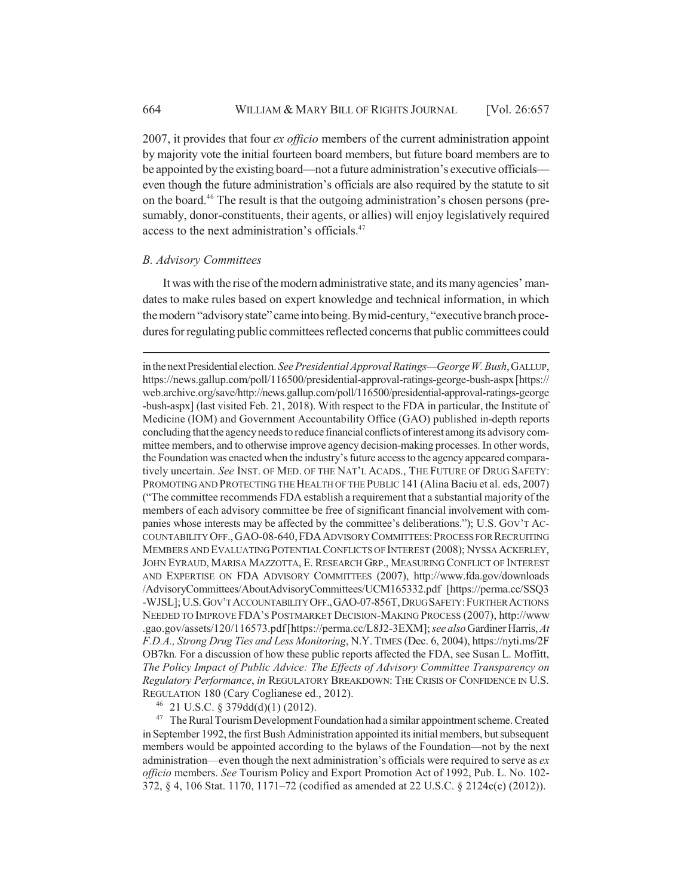2007, it provides that four *ex officio* members of the current administration appoint by majority vote the initial fourteen board members, but future board members are to be appointed by the existing board—not a future administration's executive officials even though the future administration's officials are also required by the statute to sit on the board.46 The result is that the outgoing administration's chosen persons (presumably, donor-constituents, their agents, or allies) will enjoy legislatively required access to the next administration's officials.<sup>47</sup>

#### *B. Advisory Committees*

It was with the rise of the modern administrative state, and its many agencies' mandates to make rules based on expert knowledge and technical information, in which the modern "advisory state" came into being. By mid-century, "executive branch procedures for regulating public committees reflected concerns that public committees could

in the next Presidential election. *See Presidential Approval Ratings—George W. Bush*, GALLUP, https://news.gallup.com/poll/116500/presidential-approval-ratings-george-bush-aspx [https:// web.archive.org/save/http://news.gallup.com/poll/116500/presidential-approval-ratings-george -bush-aspx] (last visited Feb. 21, 2018). With respect to the FDA in particular, the Institute of Medicine (IOM) and Government Accountability Office (GAO) published in-depth reports concluding that the agency needs to reduce financial conflicts of interest among its advisory committee members, and to otherwise improve agency decision-making processes. In other words, the Foundation was enacted when the industry's future access to the agency appeared comparatively uncertain. *See* INST. OF MED. OF THE NAT'L ACADS., THE FUTURE OF DRUG SAFETY: PROMOTING AND PROTECTING THE HEALTH OF THE PUBLIC 141 (Alina Baciu et al. eds, 2007) ("The committee recommends FDA establish a requirement that a substantial majority of the members of each advisory committee be free of significant financial involvement with companies whose interests may be affected by the committee's deliberations."); U.S. GOV'T AC-COUNTABILITY OFF.,GAO-08-640,FDAADVISORY COMMITTEES:PROCESS FOR RECRUITING MEMBERS AND EVALUATING POTENTIAL CONFLICTS OF INTEREST (2008); NYSSA ACKERLEY, JOHN EYRAUD, MARISA MAZZOTTA, E. RESEARCH GRP., MEASURING CONFLICT OF INTEREST AND EXPERTISE ON FDA ADVISORY COMMITTEES (2007), http://www.fda.gov/downloads /AdvisoryCommittees/AboutAdvisoryCommittees/UCM165332.pdf [https://perma.cc/SSQ3 -WJSL]; U.S.GOV'T ACCOUNTABILITY OFF.,GAO-07-856T,DRUG SAFETY:FURTHER ACTIONS NEEDED TO IMPROVE FDA'S POSTMARKET DECISION-MAKING PROCESS (2007), http://www .gao.gov/assets/120/116573.pdf [https://perma.cc/L8J2-3EXM]; *see also* Gardiner Harris, *At F.D.A., Strong Drug Ties and Less Monitoring*, N.Y. TIMES (Dec. 6, 2004), https://nyti.ms/2F OB7kn. For a discussion of how these public reports affected the FDA, see Susan L. Moffitt, *The Policy Impact of Public Advice: The Effects of Advisory Committee Transparency on Regulatory Performance*, *in* REGULATORY BREAKDOWN: THE CRISIS OF CONFIDENCE IN U.S. REGULATION 180 (Cary Coglianese ed., 2012).

<sup>46</sup> 21 U.S.C. § 379dd(d)(1) (2012).

<sup>47</sup> The Rural Tourism Development Foundation had a similar appointment scheme. Created in September 1992, the first Bush Administration appointed its initial members, but subsequent members would be appointed according to the bylaws of the Foundation—not by the next administration—even though the next administration's officials were required to serve as *ex officio* members. *See* Tourism Policy and Export Promotion Act of 1992, Pub. L. No. 102- 372, § 4, 106 Stat. 1170, 1171–72 (codified as amended at 22 U.S.C. § 2124c(c) (2012)).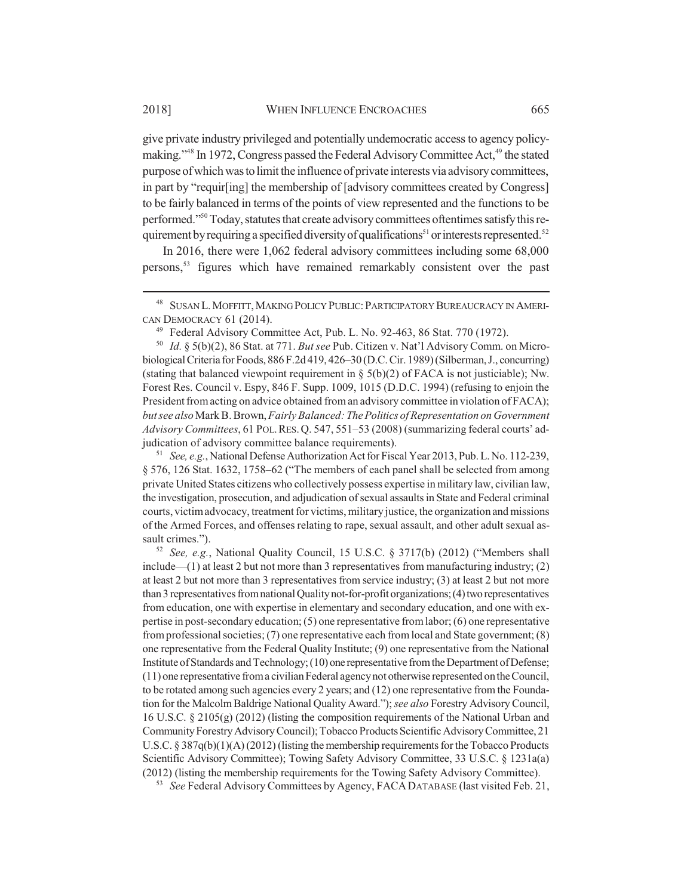give private industry privileged and potentially undemocratic access to agency policymaking."<sup>48</sup> In 1972, Congress passed the Federal Advisory Committee Act,<sup>49</sup> the stated purpose of which was to limit the influence of private interests via advisory committees, in part by "requir[ing] the membership of [advisory committees created by Congress] to be fairly balanced in terms of the points of view represented and the functions to be performed."50 Today, statutes that create advisory committees oftentimes satisfy this requirement by requiring a specified diversity of qualifications<sup>51</sup> or interests represented.<sup>52</sup>

In 2016, there were 1,062 federal advisory committees including some 68,000 persons,53 figures which have remained remarkably consistent over the past

<sup>51</sup> *See, e.g.*, National Defense Authorization Act for Fiscal Year 2013, Pub. L. No. 112-239, § 576, 126 Stat. 1632, 1758–62 ("The members of each panel shall be selected from among private United States citizens who collectively possess expertise in military law, civilian law, the investigation, prosecution, and adjudication of sexual assaults in State and Federal criminal courts, victim advocacy, treatment for victims, military justice, the organization and missions of the Armed Forces, and offenses relating to rape, sexual assault, and other adult sexual assault crimes.").

<sup>52</sup> *See, e.g.*, National Quality Council, 15 U.S.C. § 3717(b) (2012) ("Members shall include—(1) at least 2 but not more than 3 representatives from manufacturing industry; (2) at least 2 but not more than 3 representatives from service industry; (3) at least 2 but not more than 3 representatives from national Quality not-for-profit organizations; (4) two representatives from education, one with expertise in elementary and secondary education, and one with expertise in post-secondary education; (5) one representative from labor; (6) one representative from professional societies; (7) one representative each from local and State government; (8) one representative from the Federal Quality Institute; (9) one representative from the National Institute of Standards and Technology; (10) one representative from the Department of Defense; (11) one representative from a civilian Federal agency not otherwise represented on the Council, to be rotated among such agencies every 2 years; and (12) one representative from the Foundation for the Malcolm Baldrige National Quality Award."); *see also* Forestry Advisory Council, 16 U.S.C. § 2105(g) (2012) (listing the composition requirements of the National Urban and Community Forestry Advisory Council); Tobacco Products Scientific Advisory Committee, 21 U.S.C.  $\S 387q(b)(1)(A)(2012)$  (listing the membership requirements for the Tobacco Products Scientific Advisory Committee); Towing Safety Advisory Committee, 33 U.S.C. § 1231a(a) (2012) (listing the membership requirements for the Towing Safety Advisory Committee).

<sup>53</sup> *See* Federal Advisory Committees by Agency, FACADATABASE (last visited Feb. 21,

<sup>&</sup>lt;sup>48</sup> SUSAN L. MOFFITT, MAKING POLICY PUBLIC: PARTICIPATORY BUREAUCRACY IN AMERI-CAN DEMOCRACY 61 (2014).

<sup>49</sup> Federal Advisory Committee Act, Pub. L. No. 92-463, 86 Stat. 770 (1972).

<sup>50</sup> *Id.* § 5(b)(2), 86 Stat. at 771. *But see* Pub. Citizen v. Nat'l Advisory Comm. on Microbiological Criteria for Foods, 886 F.2d 419, 426–30 (D.C. Cir. 1989) (Silberman, J., concurring) (stating that balanced viewpoint requirement in  $\S 5(b)(2)$  of FACA is not justiciable); Nw. Forest Res. Council v. Espy, 846 F. Supp. 1009, 1015 (D.D.C. 1994) (refusing to enjoin the President from acting on advice obtained from an advisory committee in violation of FACA); *but see also* Mark B. Brown, *Fairly Balanced: The Politics of Representation on Government Advisory Committees*, 61 POL.RES.Q. 547, 551–53 (2008) (summarizing federal courts' adjudication of advisory committee balance requirements).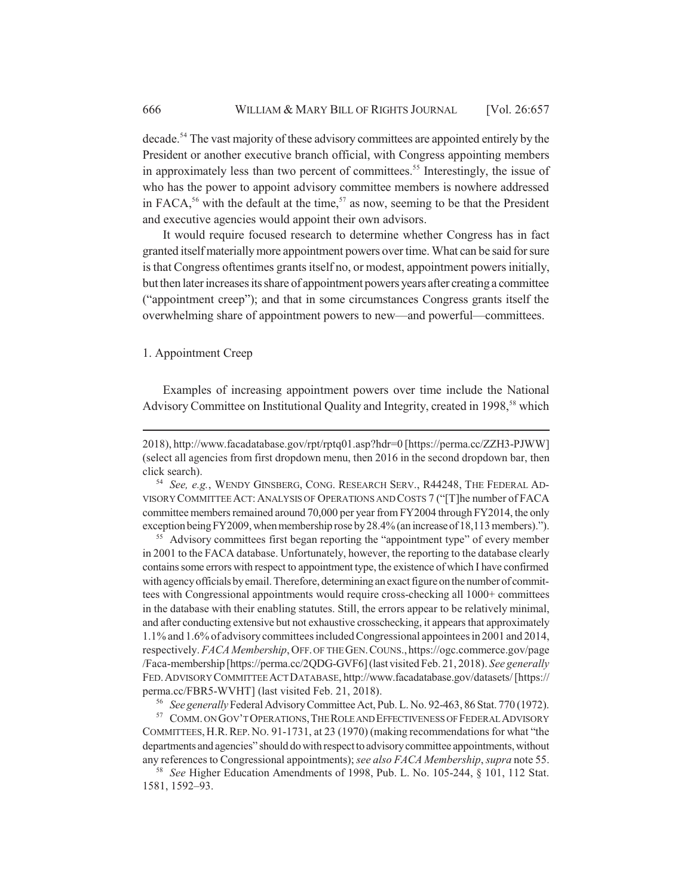decade.<sup>54</sup> The vast majority of these advisory committees are appointed entirely by the President or another executive branch official, with Congress appointing members in approximately less than two percent of committees.<sup>55</sup> Interestingly, the issue of who has the power to appoint advisory committee members is nowhere addressed in FACA,<sup>56</sup> with the default at the time,<sup>57</sup> as now, seeming to be that the President and executive agencies would appoint their own advisors.

It would require focused research to determine whether Congress has in fact granted itself materially more appointment powers over time. What can be said for sure is that Congress oftentimes grants itself no, or modest, appointment powers initially, but then later increases its share of appointment powers years after creating a committee ("appointment creep"); and that in some circumstances Congress grants itself the overwhelming share of appointment powers to new—and powerful—committees.

#### 1. Appointment Creep

Examples of increasing appointment powers over time include the National Advisory Committee on Institutional Quality and Integrity, created in 1998,<sup>58</sup> which

<sup>55</sup> Advisory committees first began reporting the "appointment type" of every member in 2001 to the FACA database. Unfortunately, however, the reporting to the database clearly contains some errors with respect to appointment type, the existence of which I have confirmed with agency officials by email. Therefore, determining an exact figure on the number of committees with Congressional appointments would require cross-checking all 1000+ committees in the database with their enabling statutes. Still, the errors appear to be relatively minimal, and after conducting extensive but not exhaustive crosschecking, it appears that approximately 1.1% and 1.6% of advisory committees included Congressional appointees in 2001 and 2014, respectively. *FACA Membership*, OFF. OF THE GEN.COUNS.,https://ogc.commerce.gov/page /Faca-membership [https://perma.cc/2QDG-GVF6] (last visited Feb. 21, 2018). *See generally* FED.ADVISORY COMMITTEE ACT DATABASE, http://www.facadatabase.gov/datasets/ [https:// perma.cc/FBR5-WVHT] (last visited Feb. 21, 2018).

<sup>56</sup> *See generally* Federal Advisory Committee Act, Pub. L. No. 92-463, 86 Stat. 770 (1972).

<sup>57</sup> COMM. ON GOV'T OPERATIONS, THE ROLE AND EFFECTIVENESS OF FEDERAL ADVISORY COMMITTEES, H.R.REP. NO. 91-1731, at 23 (1970) (making recommendations for what "the departments and agencies" should do with respect to advisory committee appointments, without any references to Congressional appointments); *see also FACA Membership*, *supra* note 55.

<sup>58</sup> *See* Higher Education Amendments of 1998, Pub. L. No. 105-244, § 101, 112 Stat. 1581, 1592–93.

<sup>2018),</sup> http://www.facadatabase.gov/rpt/rptq01.asp?hdr=0 [https://perma.cc/ZZH3-PJWW] (select all agencies from first dropdown menu, then 2016 in the second dropdown bar, then click search).

<sup>54</sup> *See, e.g.*, WENDY GINSBERG, CONG. RESEARCH SERV., R44248, THE FEDERAL AD-VISORY COMMITTEE ACT:ANALYSIS OF OPERATIONS AND COSTS 7 ("[T]he number of FACA committee members remained around 70,000 per year from FY2004 through FY2014, the only exception being FY2009, when membership rose by 28.4% (an increase of 18,113 members).").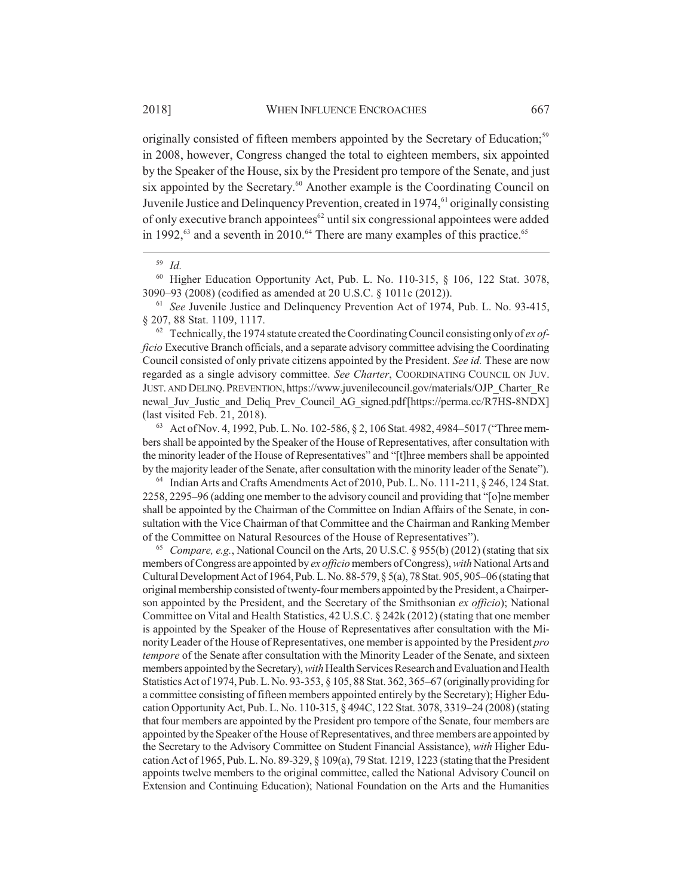originally consisted of fifteen members appointed by the Secretary of Education;<sup>59</sup> in 2008, however, Congress changed the total to eighteen members, six appointed by the Speaker of the House, six by the President pro tempore of the Senate, and just six appointed by the Secretary.<sup>60</sup> Another example is the Coordinating Council on Juvenile Justice and Delinquency Prevention, created in 1974,<sup>61</sup> originally consisting of only executive branch appointees<sup>62</sup> until six congressional appointees were added in 1992, $63$  and a seventh in 2010. $64$  There are many examples of this practice.<sup>65</sup>

<sup>60</sup> Higher Education Opportunity Act, Pub. L. No. 110-315, § 106, 122 Stat. 3078, 3090–93 (2008) (codified as amended at 20 U.S.C. § 1011c (2012)).

<sup>61</sup> *See* Juvenile Justice and Delinquency Prevention Act of 1974, Pub. L. No. 93-415, § 207, 88 Stat. 1109, 1117.

<sup>62</sup> Technically, the 1974 statute created the Coordinating Council consisting only of *ex officio* Executive Branch officials, and a separate advisory committee advising the Coordinating Council consisted of only private citizens appointed by the President. *See id.* These are now regarded as a single advisory committee. *See Charter*, COORDINATING COUNCIL ON JUV. JUST. AND DELINQ.PREVENTION, https://www.juvenilecouncil.gov/materials/OJP\_Charter\_Re newal Juv Justic and Deliq Prev Council AG signed.pdf [https://perma.cc/R7HS-8NDX] (last visited Feb. 21, 2018).

<sup>63</sup> Act of Nov. 4, 1992, Pub. L. No. 102-586, § 2, 106 Stat. 4982, 4984–5017 ("Three members shall be appointed by the Speaker of the House of Representatives, after consultation with the minority leader of the House of Representatives" and "[t]hree members shall be appointed by the majority leader of the Senate, after consultation with the minority leader of the Senate").

<sup>64</sup> Indian Arts and Crafts Amendments Act of 2010, Pub. L. No. 111-211, § 246, 124 Stat. 2258, 2295–96 (adding one member to the advisory council and providing that "[o]ne member shall be appointed by the Chairman of the Committee on Indian Affairs of the Senate, in consultation with the Vice Chairman of that Committee and the Chairman and Ranking Member of the Committee on Natural Resources of the House of Representatives").

<sup>65</sup> *Compare, e.g.*, National Council on the Arts, 20 U.S.C. § 955(b) (2012) (stating that six members of Congress are appointed by *ex officio* members of Congress), *with* National Arts and Cultural Development Act of 1964, Pub. L. No. 88-579, § 5(a), 78 Stat. 905, 905–06 (stating that original membership consisted of twenty-four members appointed by the President, a Chairperson appointed by the President, and the Secretary of the Smithsonian *ex officio*); National Committee on Vital and Health Statistics, 42 U.S.C. § 242k (2012) (stating that one member is appointed by the Speaker of the House of Representatives after consultation with the Minority Leader of the House of Representatives, one member is appointed by the President *pro tempore* of the Senate after consultation with the Minority Leader of the Senate, and sixteen members appointed by the Secretary), *with* Health Services Research and Evaluation and Health Statistics Act of 1974, Pub. L. No. 93-353, § 105, 88 Stat. 362, 365–67 (originally providing for a committee consisting of fifteen members appointed entirely by the Secretary); Higher Education Opportunity Act, Pub. L. No. 110-315, § 494C, 122 Stat. 3078, 3319–24 (2008) (stating that four members are appointed by the President pro tempore of the Senate, four members are appointed by the Speaker of the House of Representatives, and three members are appointed by the Secretary to the Advisory Committee on Student Financial Assistance), *with* Higher Education Act of 1965, Pub. L. No. 89-329, § 109(a), 79 Stat. 1219, 1223 (stating that the President appoints twelve members to the original committee, called the National Advisory Council on Extension and Continuing Education); National Foundation on the Arts and the Humanities

<sup>59</sup> *Id.*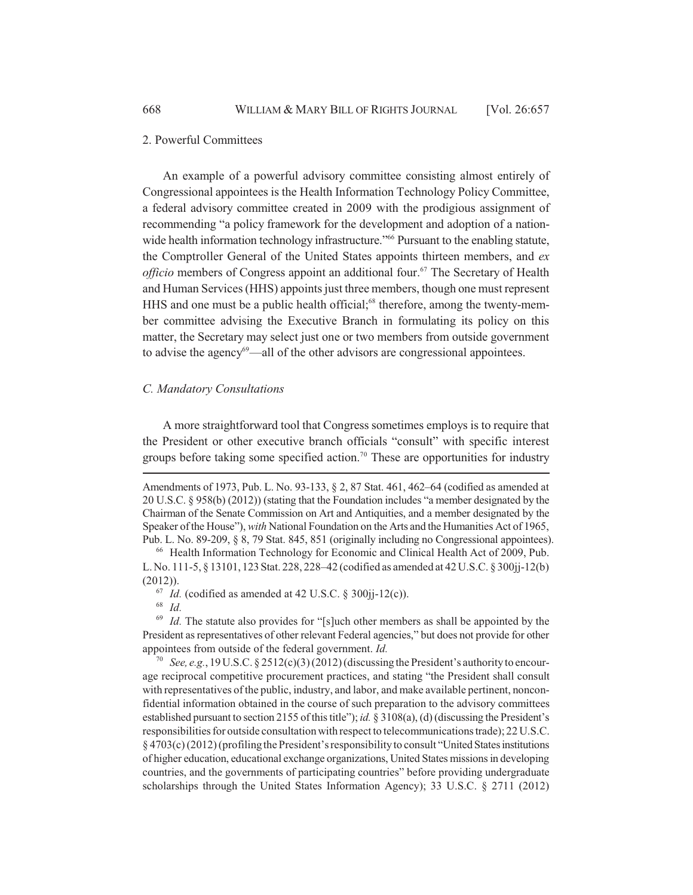#### 2. Powerful Committees

An example of a powerful advisory committee consisting almost entirely of Congressional appointees is the Health Information Technology Policy Committee, a federal advisory committee created in 2009 with the prodigious assignment of recommending "a policy framework for the development and adoption of a nationwide health information technology infrastructure."<sup>66</sup> Pursuant to the enabling statute, the Comptroller General of the United States appoints thirteen members, and *ex officio* members of Congress appoint an additional four.<sup>67</sup> The Secretary of Health and Human Services (HHS) appoints just three members, though one must represent HHS and one must be a public health official;<sup>68</sup> therefore, among the twenty-member committee advising the Executive Branch in formulating its policy on this matter, the Secretary may select just one or two members from outside government to advise the agency<sup>69</sup>—all of the other advisors are congressional appointees.

#### *C. Mandatory Consultations*

A more straightforward tool that Congress sometimes employs is to require that the President or other executive branch officials "consult" with specific interest groups before taking some specified action.<sup>70</sup> These are opportunities for industry

<sup>68</sup> *Id.*

<sup>69</sup> *Id.* The statute also provides for "[s]uch other members as shall be appointed by the President as representatives of other relevant Federal agencies," but does not provide for other appointees from outside of the federal government. *Id.*

<sup>70</sup> *See, e.g.*, 19 U.S.C. § 2512(c)(3) (2012) (discussing the President's authority to encourage reciprocal competitive procurement practices, and stating "the President shall consult with representatives of the public, industry, and labor, and make available pertinent, nonconfidential information obtained in the course of such preparation to the advisory committees established pursuant to section 2155 of this title"); *id.* § 3108(a), (d) (discussing the President's responsibilities for outside consultation with respect to telecommunications trade); 22 U.S.C. § 4703(c) (2012) (profiling the President's responsibility to consult "United States institutions of higher education, educational exchange organizations, United States missions in developing countries, and the governments of participating countries" before providing undergraduate scholarships through the United States Information Agency); 33 U.S.C. § 2711 (2012)

Amendments of 1973, Pub. L. No. 93-133, § 2, 87 Stat. 461, 462–64 (codified as amended at 20 U.S.C. § 958(b) (2012)) (stating that the Foundation includes "a member designated by the Chairman of the Senate Commission on Art and Antiquities, and a member designated by the Speaker of the House"), *with* National Foundation on the Arts and the Humanities Act of 1965, Pub. L. No. 89-209, § 8, 79 Stat. 845, 851 (originally including no Congressional appointees).

<sup>66</sup> Health Information Technology for Economic and Clinical Health Act of 2009, Pub. L. No. 111-5, § 13101, 123 Stat. 228, 228–42 (codified as amended at 42 U.S.C. § 300jj-12(b) (2012)).

 $\frac{67}{1}$  *Id.* (codified as amended at 42 U.S.C. § 300 $\frac{11}{12}$ (c)).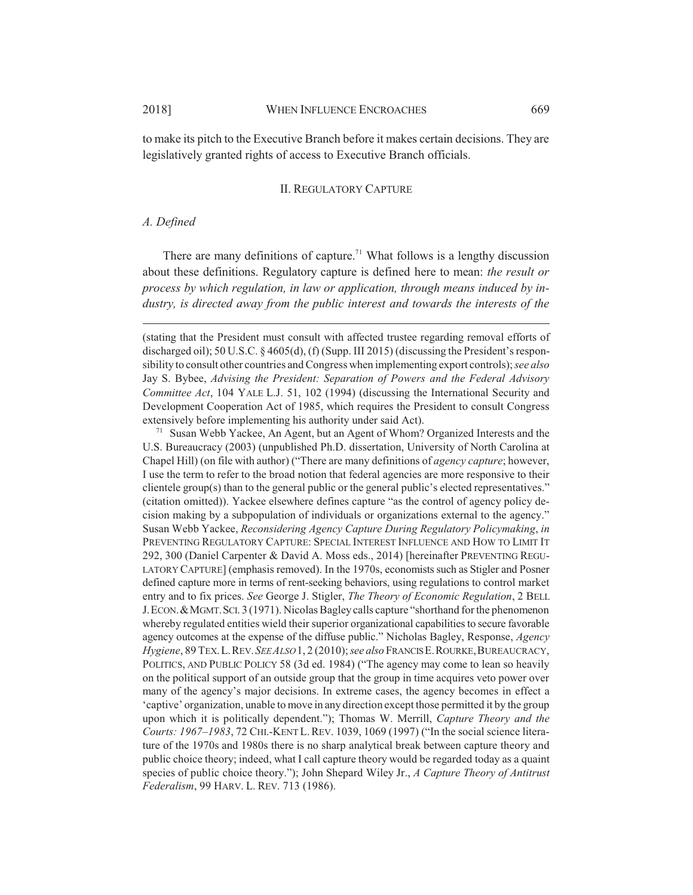to make its pitch to the Executive Branch before it makes certain decisions. They are legislatively granted rights of access to Executive Branch officials.

#### II. REGULATORY CAPTURE

#### *A. Defined*

There are many definitions of capture.<sup>71</sup> What follows is a lengthy discussion about these definitions. Regulatory capture is defined here to mean: *the result or process by which regulation, in law or application, through means induced by industry, is directed away from the public interest and towards the interests of the*

(stating that the President must consult with affected trustee regarding removal efforts of discharged oil); 50 U.S.C. § 4605(d), (f) (Supp. III 2015) (discussing the President's responsibility to consult other countries and Congress when implementing export controls); *see also* Jay S. Bybee, *Advising the President: Separation of Powers and the Federal Advisory Committee Act*, 104 YALE L.J. 51, 102 (1994) (discussing the International Security and Development Cooperation Act of 1985, which requires the President to consult Congress extensively before implementing his authority under said Act).

<sup>71</sup> Susan Webb Yackee, An Agent, but an Agent of Whom? Organized Interests and the U.S. Bureaucracy (2003) (unpublished Ph.D. dissertation, University of North Carolina at Chapel Hill) (on file with author) ("There are many definitions of *agency capture*; however, I use the term to refer to the broad notion that federal agencies are more responsive to their clientele group(s) than to the general public or the general public's elected representatives." (citation omitted)). Yackee elsewhere defines capture "as the control of agency policy decision making by a subpopulation of individuals or organizations external to the agency." Susan Webb Yackee, *Reconsidering Agency Capture During Regulatory Policymaking*, *in* PREVENTING REGULATORY CAPTURE: SPECIAL INTEREST INFLUENCE AND HOW TO LIMIT IT 292, 300 (Daniel Carpenter & David A. Moss eds., 2014) [hereinafter PREVENTING REGU-LATORY CAPTURE] (emphasis removed). In the 1970s, economists such as Stigler and Posner defined capture more in terms of rent-seeking behaviors, using regulations to control market entry and to fix prices. *See* George J. Stigler, *The Theory of Economic Regulation*, 2 BELL J.ECON.&MGMT.SCI. 3 (1971). Nicolas Bagley calls capture "shorthand for the phenomenon whereby regulated entities wield their superior organizational capabilities to secure favorable agency outcomes at the expense of the diffuse public." Nicholas Bagley, Response, *Agency Hygiene*, 89 TEX.L.REV.*SEE ALSO* 1, 2 (2010); *see also* FRANCIS E.ROURKE,BUREAUCRACY, POLITICS, AND PUBLIC POLICY 58 (3d ed. 1984) ("The agency may come to lean so heavily on the political support of an outside group that the group in time acquires veto power over many of the agency's major decisions. In extreme cases, the agency becomes in effect a 'captive' organization, unable to move in any direction except those permitted it by the group upon which it is politically dependent."); Thomas W. Merrill, *Capture Theory and the Courts: 1967–1983*, 72 CHI.-KENT L.REV. 1039, 1069 (1997) ("In the social science literature of the 1970s and 1980s there is no sharp analytical break between capture theory and public choice theory; indeed, what I call capture theory would be regarded today as a quaint species of public choice theory."); John Shepard Wiley Jr., *A Capture Theory of Antitrust Federalism*, 99 HARV. L. REV. 713 (1986).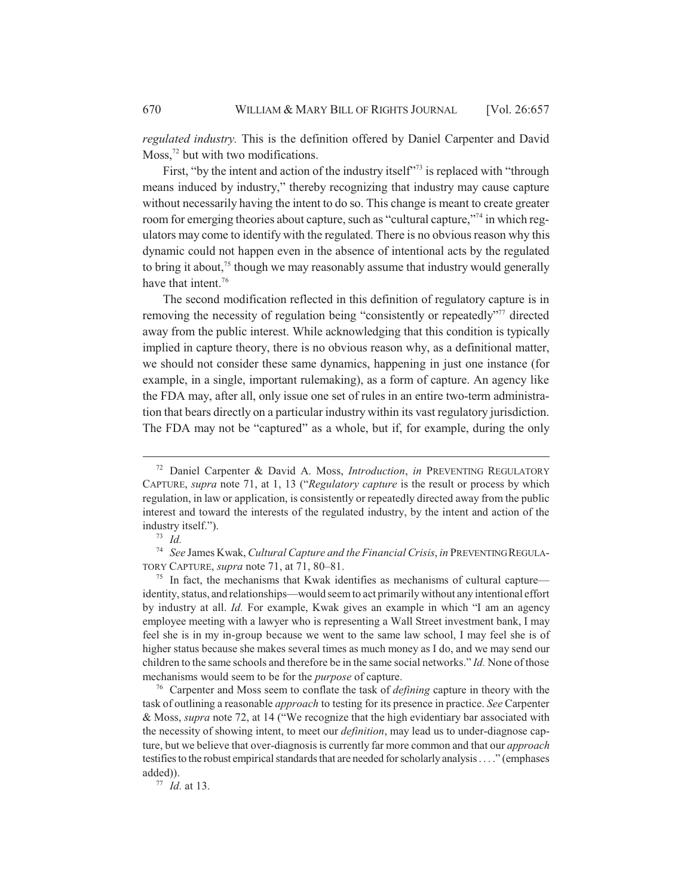*regulated industry.* This is the definition offered by Daniel Carpenter and David Moss, $72$  but with two modifications.

First, "by the intent and action of the industry itself"<sup>73</sup> is replaced with "through means induced by industry," thereby recognizing that industry may cause capture without necessarily having the intent to do so. This change is meant to create greater room for emerging theories about capture, such as "cultural capture,"<sup>74</sup> in which regulators may come to identify with the regulated. There is no obvious reason why this dynamic could not happen even in the absence of intentional acts by the regulated to bring it about, $7<sup>5</sup>$  though we may reasonably assume that industry would generally have that intent.<sup>76</sup>

The second modification reflected in this definition of regulatory capture is in removing the necessity of regulation being "consistently or repeatedly"<sup>77</sup> directed away from the public interest. While acknowledging that this condition is typically implied in capture theory, there is no obvious reason why, as a definitional matter, we should not consider these same dynamics, happening in just one instance (for example, in a single, important rulemaking), as a form of capture. An agency like the FDA may, after all, only issue one set of rules in an entire two-term administration that bears directly on a particular industry within its vast regulatory jurisdiction. The FDA may not be "captured" as a whole, but if, for example, during the only

<sup>73</sup> *Id.*

<sup>74</sup> *See* James Kwak, *Cultural Capture and the Financial Crisis*, *in* PREVENTING REGULA-TORY CAPTURE, *supra* note 71, at 71, 80–81.

 $75$  In fact, the mechanisms that Kwak identifies as mechanisms of cultural capture identity, status, and relationships—would seem to act primarily without any intentional effort by industry at all. *Id.* For example, Kwak gives an example in which "I am an agency employee meeting with a lawyer who is representing a Wall Street investment bank, I may feel she is in my in-group because we went to the same law school, I may feel she is of higher status because she makes several times as much money as I do, and we may send our children to the same schools and therefore be in the same social networks." *Id.* None of those mechanisms would seem to be for the *purpose* of capture.

<sup>76</sup> Carpenter and Moss seem to conflate the task of *defining* capture in theory with the task of outlining a reasonable *approach* to testing for its presence in practice. *See* Carpenter & Moss, *supra* note 72, at 14 ("We recognize that the high evidentiary bar associated with the necessity of showing intent, to meet our *definition*, may lead us to under-diagnose capture, but we believe that over-diagnosis is currently far more common and that our *approach* testifies to the robust empirical standards that are needed for scholarly analysis . . . ." (emphases added)).

<sup>77</sup> *Id.* at 13.

<sup>72</sup> Daniel Carpenter & David A. Moss, *Introduction*, *in* PREVENTING REGULATORY CAPTURE, *supra* note 71, at 1, 13 ("*Regulatory capture* is the result or process by which regulation, in law or application, is consistently or repeatedly directed away from the public interest and toward the interests of the regulated industry, by the intent and action of the industry itself.").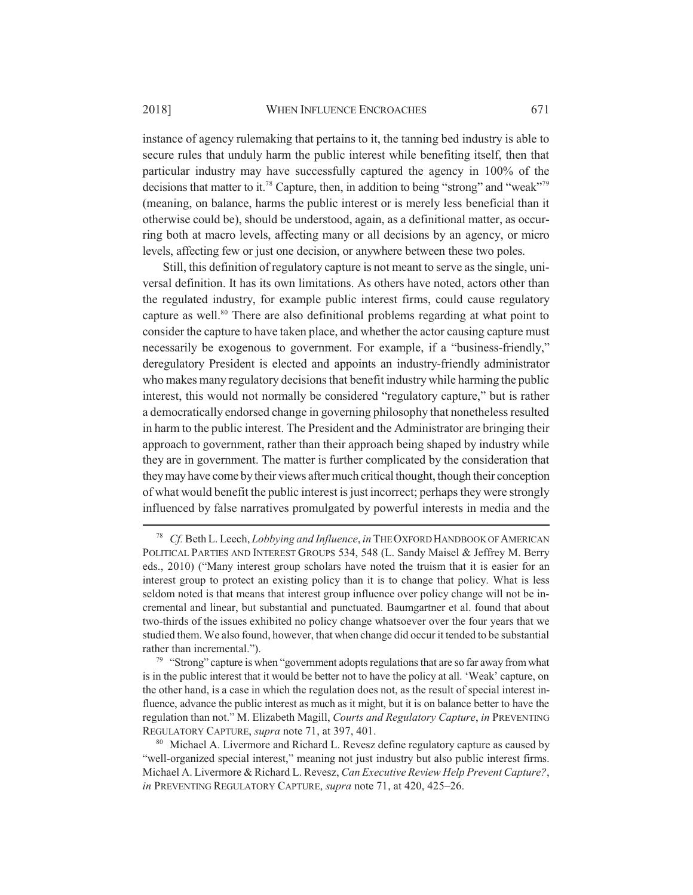instance of agency rulemaking that pertains to it, the tanning bed industry is able to secure rules that unduly harm the public interest while benefiting itself, then that particular industry may have successfully captured the agency in 100% of the decisions that matter to it.<sup>78</sup> Capture, then, in addition to being "strong" and "weak"<sup>79</sup> (meaning, on balance, harms the public interest or is merely less beneficial than it otherwise could be), should be understood, again, as a definitional matter, as occurring both at macro levels, affecting many or all decisions by an agency, or micro levels, affecting few or just one decision, or anywhere between these two poles.

Still, this definition of regulatory capture is not meant to serve as the single, universal definition. It has its own limitations. As others have noted, actors other than the regulated industry, for example public interest firms, could cause regulatory capture as well.<sup>80</sup> There are also definitional problems regarding at what point to consider the capture to have taken place, and whether the actor causing capture must necessarily be exogenous to government. For example, if a "business-friendly," deregulatory President is elected and appoints an industry-friendly administrator who makes many regulatory decisions that benefit industry while harming the public interest, this would not normally be considered "regulatory capture," but is rather a democratically endorsed change in governing philosophy that nonetheless resulted in harm to the public interest. The President and the Administrator are bringing their approach to government, rather than their approach being shaped by industry while they are in government. The matter is further complicated by the consideration that they may have come by their views after much critical thought, though their conception of what would benefit the public interest is just incorrect; perhaps they were strongly influenced by false narratives promulgated by powerful interests in media and the

<sup>78</sup> *Cf.* Beth L. Leech, *Lobbying and Influence*, *in* THE OXFORD HANDBOOK OF AMERICAN POLITICAL PARTIES AND INTEREST GROUPS 534, 548 (L. Sandy Maisel & Jeffrey M. Berry eds., 2010) ("Many interest group scholars have noted the truism that it is easier for an interest group to protect an existing policy than it is to change that policy. What is less seldom noted is that means that interest group influence over policy change will not be incremental and linear, but substantial and punctuated. Baumgartner et al. found that about two-thirds of the issues exhibited no policy change whatsoever over the four years that we studied them. We also found, however, that when change did occur it tended to be substantial rather than incremental.").

<sup>&</sup>lt;sup>79</sup> "Strong" capture is when "government adopts regulations that are so far away from what is in the public interest that it would be better not to have the policy at all. 'Weak' capture, on the other hand, is a case in which the regulation does not, as the result of special interest influence, advance the public interest as much as it might, but it is on balance better to have the regulation than not." M. Elizabeth Magill, *Courts and Regulatory Capture*, *in* PREVENTING REGULATORY CAPTURE, *supra* note 71, at 397, 401.

<sup>&</sup>lt;sup>80</sup> Michael A. Livermore and Richard L. Revesz define regulatory capture as caused by "well-organized special interest," meaning not just industry but also public interest firms. Michael A. Livermore & Richard L. Revesz, *Can Executive Review Help Prevent Capture?*, *in* PREVENTING REGULATORY CAPTURE, *supra* note 71, at 420, 425–26.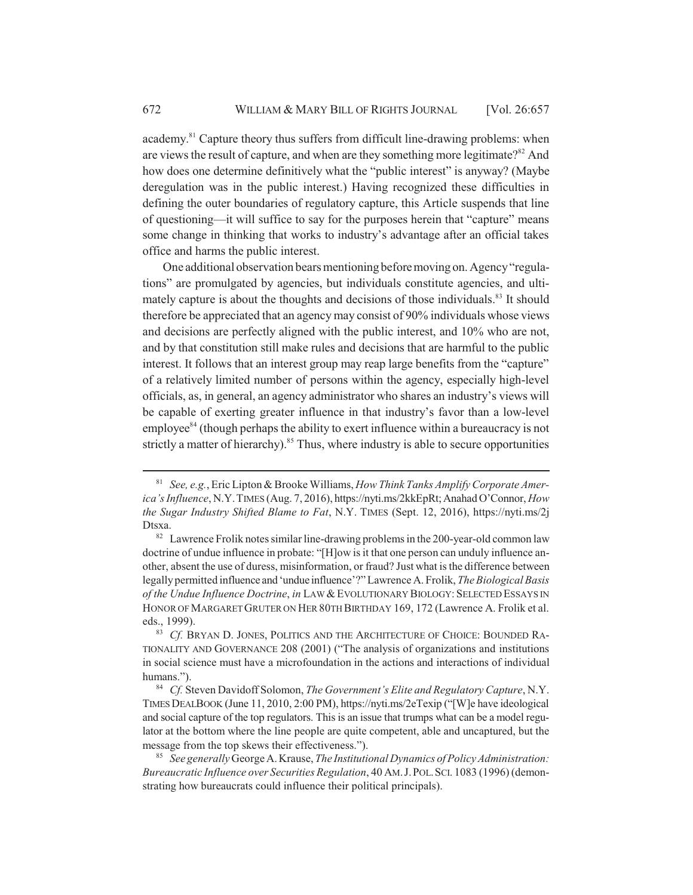academy.<sup>81</sup> Capture theory thus suffers from difficult line-drawing problems: when are views the result of capture, and when are they something more legitimate? $82$  And how does one determine definitively what the "public interest" is anyway? (Maybe deregulation was in the public interest.) Having recognized these difficulties in defining the outer boundaries of regulatory capture, this Article suspends that line of questioning—it will suffice to say for the purposes herein that "capture" means some change in thinking that works to industry's advantage after an official takes office and harms the public interest.

One additional observation bears mentioning before moving on. Agency "regulations" are promulgated by agencies, but individuals constitute agencies, and ultimately capture is about the thoughts and decisions of those individuals.<sup>83</sup> It should therefore be appreciated that an agency may consist of 90% individuals whose views and decisions are perfectly aligned with the public interest, and 10% who are not, and by that constitution still make rules and decisions that are harmful to the public interest. It follows that an interest group may reap large benefits from the "capture" of a relatively limited number of persons within the agency, especially high-level officials, as, in general, an agency administrator who shares an industry's views will be capable of exerting greater influence in that industry's favor than a low-level  $emplovee<sup>84</sup>$  (though perhaps the ability to exert influence within a bureaucracy is not strictly a matter of hierarchy).<sup>85</sup> Thus, where industry is able to secure opportunities

<sup>81</sup> *See, e.g.*, Eric Lipton & Brooke Williams, *How Think Tanks Amplify Corporate America's Influence*, N.Y.TIMES (Aug. 7, 2016), https://nyti.ms/2kkEpRt; Anahad O'Connor, *How the Sugar Industry Shifted Blame to Fat*, N.Y. TIMES (Sept. 12, 2016), https://nyti.ms/2j Dtsxa.

<sup>&</sup>lt;sup>82</sup> Lawrence Frolik notes similar line-drawing problems in the 200-year-old common law doctrine of undue influence in probate: "[H]ow is it that one person can unduly influence another, absent the use of duress, misinformation, or fraud? Just what is the difference between legally permitted influence and 'undue influence'?" Lawrence A. Frolik, *The Biological Basis of the Undue Influence Doctrine*, *in* LAW &EVOLUTIONARY BIOLOGY: SELECTED ESSAYS IN HONOR OF MARGARET GRUTER ON HER 80TH BIRTHDAY 169, 172 (Lawrence A. Frolik et al. eds., 1999).

<sup>83</sup> *Cf.* BRYAN D. JONES, POLITICS AND THE ARCHITECTURE OF CHOICE: BOUNDED RA-TIONALITY AND GOVERNANCE 208 (2001) ("The analysis of organizations and institutions in social science must have a microfoundation in the actions and interactions of individual humans.").

<sup>84</sup> *Cf.* Steven Davidoff Solomon, *The Government's Elite and Regulatory Capture*, N.Y. TIMES DEALBOOK (June 11, 2010, 2:00 PM), https://nyti.ms/2eTexip ("[W]e have ideological and social capture of the top regulators. This is an issue that trumps what can be a model regulator at the bottom where the line people are quite competent, able and uncaptured, but the message from the top skews their effectiveness.").

<sup>85</sup> *See generally* George A. Krause, *The Institutional Dynamics of Policy Administration: Bureaucratic Influence over Securities Regulation*, 40 AM.J.POL.SCI. 1083 (1996) (demonstrating how bureaucrats could influence their political principals).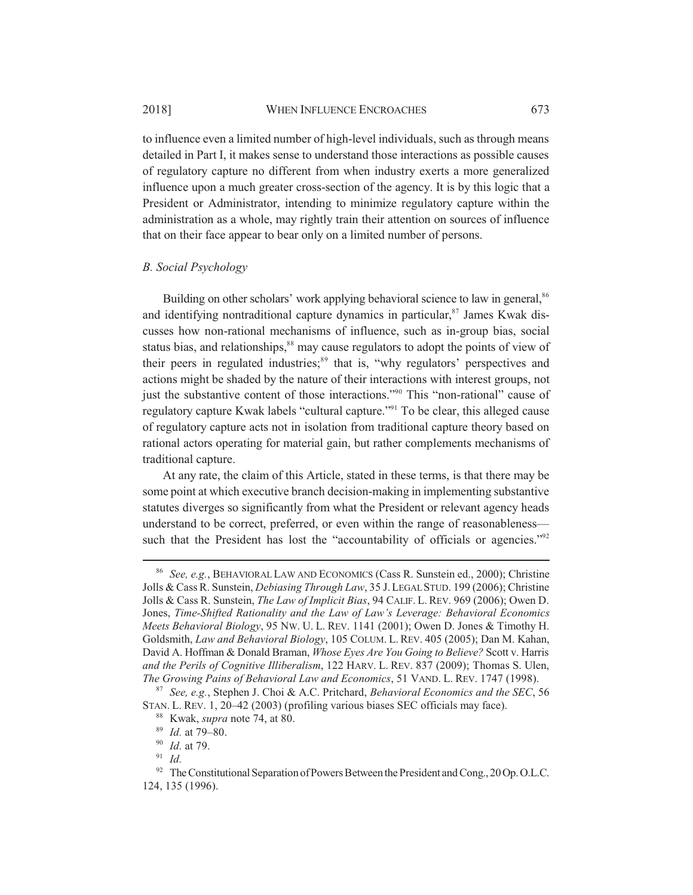to influence even a limited number of high-level individuals, such as through means detailed in Part I, it makes sense to understand those interactions as possible causes of regulatory capture no different from when industry exerts a more generalized influence upon a much greater cross-section of the agency. It is by this logic that a President or Administrator, intending to minimize regulatory capture within the administration as a whole, may rightly train their attention on sources of influence that on their face appear to bear only on a limited number of persons.

#### *B. Social Psychology*

Building on other scholars' work applying behavioral science to law in general,<sup>86</sup> and identifying nontraditional capture dynamics in particular, $87$  James Kwak discusses how non-rational mechanisms of influence, such as in-group bias, social status bias, and relationships,<sup>88</sup> may cause regulators to adopt the points of view of their peers in regulated industries; $89$  that is, "why regulators' perspectives and actions might be shaded by the nature of their interactions with interest groups, not just the substantive content of those interactions."90 This "non-rational" cause of regulatory capture Kwak labels "cultural capture."91 To be clear, this alleged cause of regulatory capture acts not in isolation from traditional capture theory based on rational actors operating for material gain, but rather complements mechanisms of traditional capture.

At any rate, the claim of this Article, stated in these terms, is that there may be some point at which executive branch decision-making in implementing substantive statutes diverges so significantly from what the President or relevant agency heads understand to be correct, preferred, or even within the range of reasonableness such that the President has lost the "accountability of officials or agencies."<sup>92</sup>

<sup>86</sup> *See, e.g.*, BEHAVIORAL LAW AND ECONOMICS (Cass R. Sunstein ed., 2000); Christine Jolls & Cass R. Sunstein, *Debiasing Through Law*, 35 J.LEGAL STUD. 199 (2006); Christine Jolls & Cass R. Sunstein, *The Law of Implicit Bias*, 94 CALIF. L. REV. 969 (2006); Owen D. Jones, *Time-Shifted Rationality and the Law of Law's Leverage: Behavioral Economics Meets Behavioral Biology*, 95 NW. U. L. REV. 1141 (2001); Owen D. Jones & Timothy H. Goldsmith, *Law and Behavioral Biology*, 105 COLUM. L. REV. 405 (2005); Dan M. Kahan, David A. Hoffman & Donald Braman, *Whose Eyes Are You Going to Believe?* Scott v. Harris *and the Perils of Cognitive Illiberalism*, 122 HARV. L. REV. 837 (2009); Thomas S. Ulen, *The Growing Pains of Behavioral Law and Economics*, 51 VAND. L. REV. 1747 (1998).

<sup>87</sup> *See, e.g.*, Stephen J. Choi & A.C. Pritchard, *Behavioral Economics and the SEC*, 56 STAN. L. REV. 1, 20–42 (2003) (profiling various biases SEC officials may face).

<sup>88</sup> Kwak, *supra* note 74, at 80.

<sup>89</sup> *Id.* at 79–80.

<sup>90</sup> *Id.* at 79.

<sup>91</sup> *Id.*

 $92$  The Constitutional Separation of Powers Between the President and Cong., 20 Op. O.L.C. 124, 135 (1996).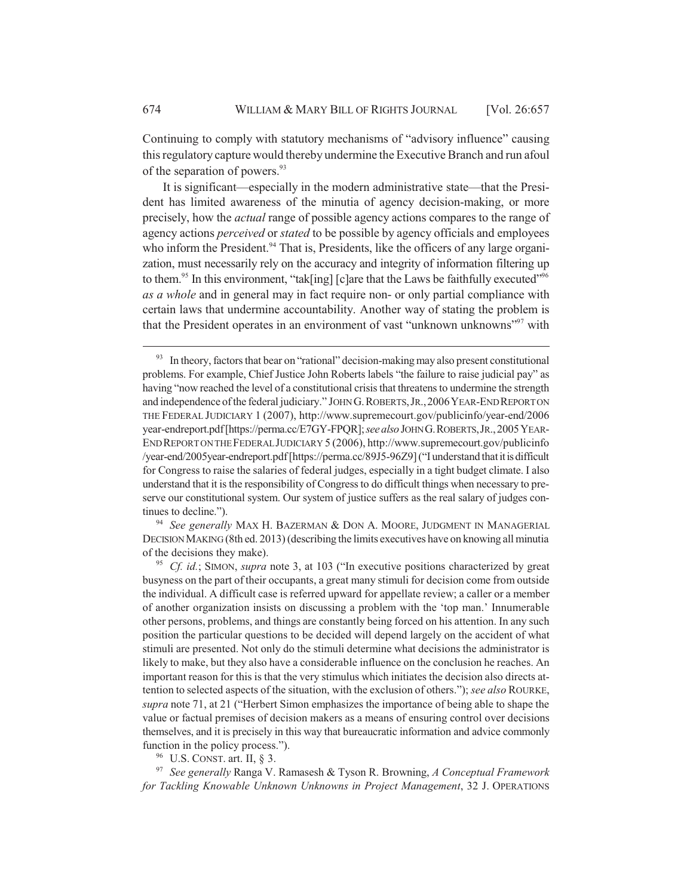Continuing to comply with statutory mechanisms of "advisory influence" causing this regulatory capture would thereby undermine the Executive Branch and run afoul of the separation of powers.<sup>93</sup>

It is significant—especially in the modern administrative state—that the President has limited awareness of the minutia of agency decision-making, or more precisely, how the *actual* range of possible agency actions compares to the range of agency actions *perceived* or *stated* to be possible by agency officials and employees who inform the President.<sup>94</sup> That is, Presidents, like the officers of any large organization, must necessarily rely on the accuracy and integrity of information filtering up to them.<sup>95</sup> In this environment, "tak[ing] [c]are that the Laws be faithfully executed"<sup>96</sup> *as a whole* and in general may in fact require non- or only partial compliance with certain laws that undermine accountability. Another way of stating the problem is that the President operates in an environment of vast "unknown unknowns"<sup>97</sup> with

<sup>94</sup> *See generally* MAX H. BAZERMAN & DON A. MOORE, JUDGMENT IN MANAGERIAL DECISION MAKING (8th ed. 2013) (describing the limits executives have on knowing all minutia of the decisions they make).

<sup>95</sup> *Cf. id.*; SIMON, *supra* note 3, at 103 ("In executive positions characterized by great busyness on the part of their occupants, a great many stimuli for decision come from outside the individual. A difficult case is referred upward for appellate review; a caller or a member of another organization insists on discussing a problem with the 'top man.' Innumerable other persons, problems, and things are constantly being forced on his attention. In any such position the particular questions to be decided will depend largely on the accident of what stimuli are presented. Not only do the stimuli determine what decisions the administrator is likely to make, but they also have a considerable influence on the conclusion he reaches. An important reason for this is that the very stimulus which initiates the decision also directs attention to selected aspects of the situation, with the exclusion of others."); *see also* ROURKE, *supra* note 71, at 21 ("Herbert Simon emphasizes the importance of being able to shape the value or factual premises of decision makers as a means of ensuring control over decisions themselves, and it is precisely in this way that bureaucratic information and advice commonly function in the policy process.").

<sup>96</sup> U.S. CONST. art. II, § 3.

<sup>97</sup> *See generally* Ranga V. Ramasesh & Tyson R. Browning, *A Conceptual Framework for Tackling Knowable Unknown Unknowns in Project Management*, 32 J. OPERATIONS

 $93$  In theory, factors that bear on "rational" decision-making may also present constitutional problems. For example, Chief Justice John Roberts labels "the failure to raise judicial pay" as having "now reached the level of a constitutional crisis that threatens to undermine the strength and independence of the federal judiciary." JOHN G.ROBERTS,JR.,2006YEAR-END REPORT ON THE FEDERAL JUDICIARY 1 (2007), http://www.supremecourt.gov/publicinfo/year-end/2006 year-endreport.pdf [https://perma.cc/E7GY-FPQR]; *see also* JOHN G.ROBERTS,JR.,2005YEAR-END REPORT ON THE FEDERAL JUDICIARY 5 (2006), http://www.supremecourt.gov/publicinfo /year-end/2005year-endreport.pdf [https://perma.cc/89J5-96Z9] ("I understand that it is difficult for Congress to raise the salaries of federal judges, especially in a tight budget climate. I also understand that it is the responsibility of Congress to do difficult things when necessary to preserve our constitutional system. Our system of justice suffers as the real salary of judges continues to decline.").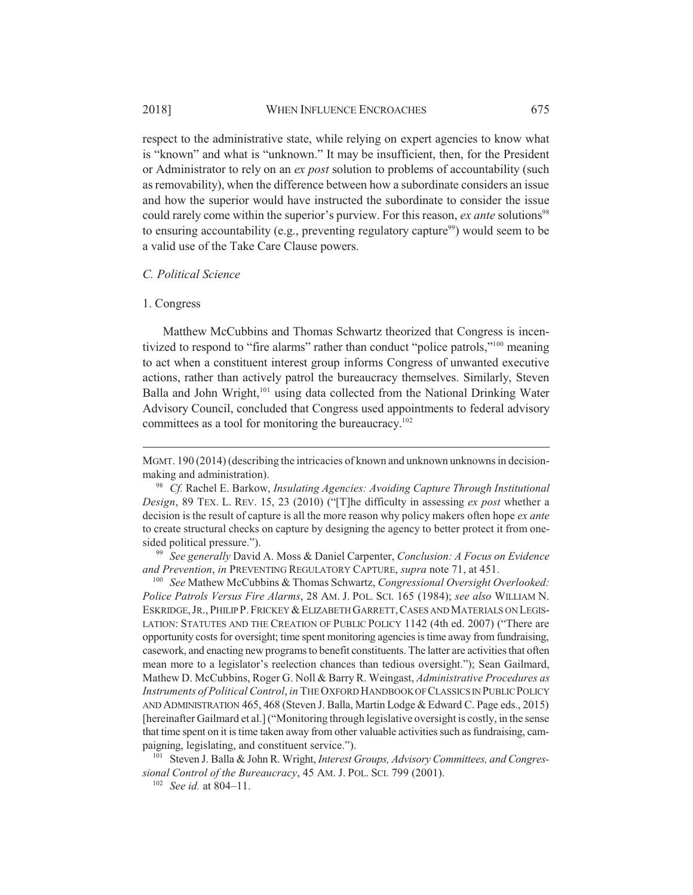respect to the administrative state, while relying on expert agencies to know what is "known" and what is "unknown." It may be insufficient, then, for the President or Administrator to rely on an *ex post* solution to problems of accountability (such as removability), when the difference between how a subordinate considers an issue and how the superior would have instructed the subordinate to consider the issue could rarely come within the superior's purview. For this reason, *ex ante* solutions<sup>98</sup> to ensuring accountability (e.g., preventing regulatory capture<sup>99</sup>) would seem to be a valid use of the Take Care Clause powers.

#### *C. Political Science*

#### 1. Congress

Matthew McCubbins and Thomas Schwartz theorized that Congress is incentivized to respond to "fire alarms" rather than conduct "police patrols,"<sup>100</sup> meaning to act when a constituent interest group informs Congress of unwanted executive actions, rather than actively patrol the bureaucracy themselves. Similarly, Steven Balla and John Wright,<sup>101</sup> using data collected from the National Drinking Water Advisory Council, concluded that Congress used appointments to federal advisory committees as a tool for monitoring the bureaucracy.<sup>102</sup>

<sup>99</sup> *See generally* David A. Moss & Daniel Carpenter, *Conclusion: A Focus on Evidence and Prevention*, *in* PREVENTING REGULATORY CAPTURE, *supra* note 71, at 451.

<sup>100</sup> *See* Mathew McCubbins & Thomas Schwartz, *Congressional Oversight Overlooked: Police Patrols Versus Fire Alarms*, 28 AM. J. POL. SCI. 165 (1984); *see also* WILLIAM N. ESKRIDGE,JR.,PHILIP P.FRICKEY &ELIZABETH GARRETT,CASES AND MATERIALS ON LEGIS-LATION: STATUTES AND THE CREATION OF PUBLIC POLICY 1142 (4th ed. 2007) ("There are opportunity costs for oversight; time spent monitoring agencies is time away from fundraising, casework, and enacting new programs to benefit constituents. The latter are activities that often mean more to a legislator's reelection chances than tedious oversight."); Sean Gailmard, Mathew D. McCubbins, Roger G. Noll & Barry R. Weingast, *Administrative Procedures as Instruments of Political Control*, *in* THE OXFORD HANDBOOK OF CLASSICS IN PUBLIC POLICY AND ADMINISTRATION 465, 468 (Steven J. Balla, Martin Lodge & Edward C. Page eds., 2015) [hereinafter Gailmard et al.] ("Monitoring through legislative oversight is costly, in the sense that time spent on it is time taken away from other valuable activities such as fundraising, campaigning, legislating, and constituent service.").

<sup>101</sup> Steven J. Balla & John R. Wright, *Interest Groups, Advisory Committees, and Congressional Control of the Bureaucracy*, 45 AM. J. POL. SCI. 799 (2001).

<sup>102</sup> *See id.* at 804–11.

MGMT. 190 (2014) (describing the intricacies of known and unknown unknowns in decisionmaking and administration).

<sup>98</sup> *Cf.* Rachel E. Barkow, *Insulating Agencies: Avoiding Capture Through Institutional Design*, 89 TEX. L. REV. 15, 23 (2010) ("[T]he difficulty in assessing *ex post* whether a decision is the result of capture is all the more reason why policy makers often hope *ex ante* to create structural checks on capture by designing the agency to better protect it from onesided political pressure.").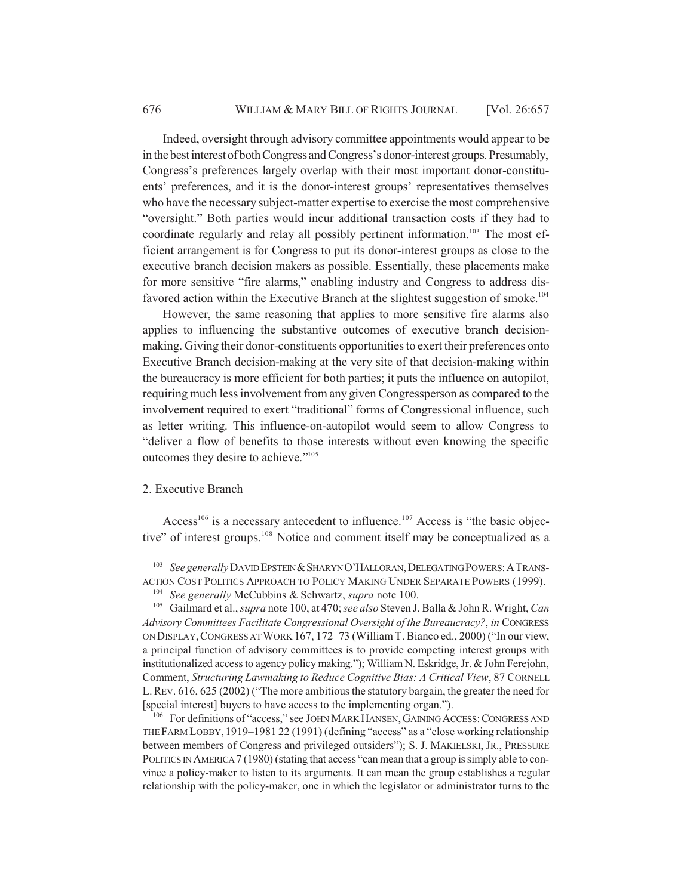Indeed, oversight through advisory committee appointments would appear to be in the best interest of both Congress and Congress's donor-interest groups. Presumably, Congress's preferences largely overlap with their most important donor-constituents' preferences, and it is the donor-interest groups' representatives themselves who have the necessary subject-matter expertise to exercise the most comprehensive "oversight." Both parties would incur additional transaction costs if they had to coordinate regularly and relay all possibly pertinent information.<sup>103</sup> The most efficient arrangement is for Congress to put its donor-interest groups as close to the executive branch decision makers as possible. Essentially, these placements make for more sensitive "fire alarms," enabling industry and Congress to address disfavored action within the Executive Branch at the slightest suggestion of smoke.<sup>104</sup>

However, the same reasoning that applies to more sensitive fire alarms also applies to influencing the substantive outcomes of executive branch decisionmaking. Giving their donor-constituents opportunities to exert their preferences onto Executive Branch decision-making at the very site of that decision-making within the bureaucracy is more efficient for both parties; it puts the influence on autopilot, requiring much less involvement from any given Congressperson as compared to the involvement required to exert "traditional" forms of Congressional influence, such as letter writing. This influence-on-autopilot would seem to allow Congress to "deliver a flow of benefits to those interests without even knowing the specific outcomes they desire to achieve."105

#### 2. Executive Branch

Access<sup>106</sup> is a necessary antecedent to influence.<sup>107</sup> Access is "the basic objective" of interest groups.<sup>108</sup> Notice and comment itself may be conceptualized as a

<sup>&</sup>lt;sup>103</sup> *See generally* DAVID EPSTEIN & SHARYN O'HALLORAN, DELEGATING POWERS: A TRANS-ACTION COST POLITICS APPROACH TO POLICY MAKING UNDER SEPARATE POWERS (1999).

<sup>104</sup> *See generally* McCubbins & Schwartz, *supra* note 100.

<sup>105</sup> Gailmard et al., *supra* note 100, at 470; *see also* Steven J. Balla & John R. Wright, *Can Advisory Committees Facilitate Congressional Oversight of the Bureaucracy?*, *in* CONGRESS ON DISPLAY,CONGRESS AT WORK 167, 172–73 (William T. Bianco ed., 2000) ("In our view, a principal function of advisory committees is to provide competing interest groups with institutionalized access to agency policy making."); William N. Eskridge, Jr. & John Ferejohn, Comment, *Structuring Lawmaking to Reduce Cognitive Bias: A Critical View*, 87 CORNELL L.REV. 616, 625 (2002) ("The more ambitious the statutory bargain, the greater the need for [special interest] buyers to have access to the implementing organ.").

<sup>&</sup>lt;sup>106</sup> For definitions of "access," see JOHN MARK HANSEN, GAINING ACCESS: CONGRESS AND THE FARM LOBBY, 1919–1981 22 (1991) (defining "access" as a "close working relationship between members of Congress and privileged outsiders"); S. J. MAKIELSKI, JR., PRESSURE POLITICS IN AMERICA 7 (1980) (stating that access "can mean that a group is simply able to convince a policy-maker to listen to its arguments. It can mean the group establishes a regular relationship with the policy-maker, one in which the legislator or administrator turns to the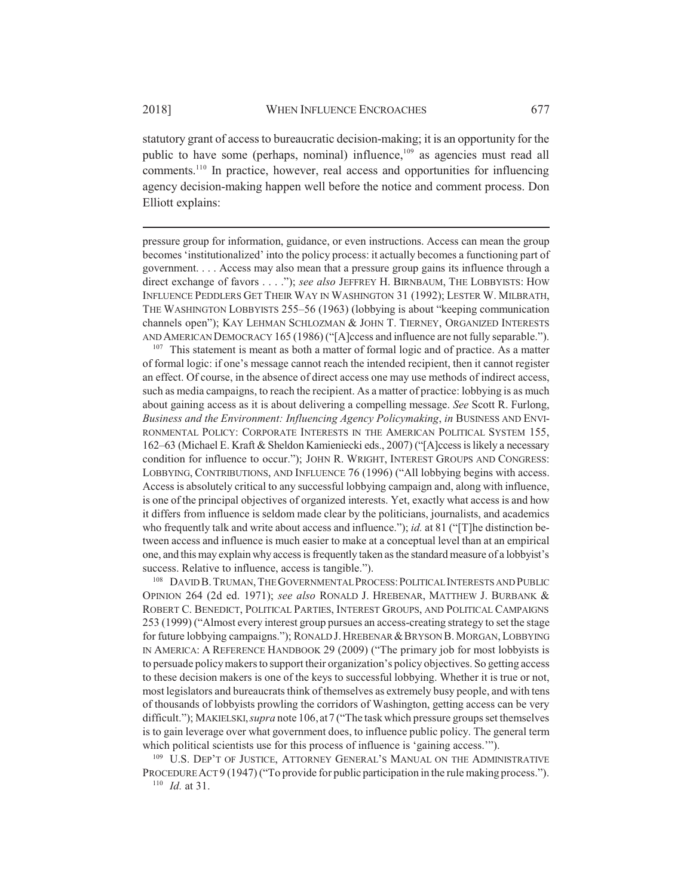statutory grant of access to bureaucratic decision-making; it is an opportunity for the public to have some (perhaps, nominal) influence,<sup>109</sup> as agencies must read all comments.<sup>110</sup> In practice, however, real access and opportunities for influencing agency decision-making happen well before the notice and comment process. Don Elliott explains:

pressure group for information, guidance, or even instructions. Access can mean the group becomes 'institutionalized' into the policy process: it actually becomes a functioning part of government. . . . Access may also mean that a pressure group gains its influence through a direct exchange of favors . . . ."); *see also* JEFFREY H. BIRNBAUM, THE LOBBYISTS: HOW INFLUENCE PEDDLERS GET THEIR WAY IN WASHINGTON 31 (1992); LESTER W. MILBRATH, THE WASHINGTON LOBBYISTS 255–56 (1963) (lobbying is about "keeping communication channels open"); KAY LEHMAN SCHLOZMAN & JOHN T. TIERNEY, ORGANIZED INTERESTS AND AMERICAN DEMOCRACY 165 (1986) ("[A]ccess and influence are not fully separable.").

<sup>107</sup> This statement is meant as both a matter of formal logic and of practice. As a matter of formal logic: if one's message cannot reach the intended recipient, then it cannot register an effect. Of course, in the absence of direct access one may use methods of indirect access, such as media campaigns, to reach the recipient. As a matter of practice: lobbying is as much about gaining access as it is about delivering a compelling message. *See* Scott R. Furlong, *Business and the Environment: Influencing Agency Policymaking*, *in* BUSINESS AND ENVI-RONMENTAL POLICY: CORPORATE INTERESTS IN THE AMERICAN POLITICAL SYSTEM 155, 162–63 (Michael E. Kraft & Sheldon Kamieniecki eds., 2007) ("[A]ccess is likely a necessary condition for influence to occur."); JOHN R. WRIGHT, INTEREST GROUPS AND CONGRESS: LOBBYING, CONTRIBUTIONS, AND INFLUENCE 76 (1996) ("All lobbying begins with access. Access is absolutely critical to any successful lobbying campaign and, along with influence, is one of the principal objectives of organized interests. Yet, exactly what access is and how it differs from influence is seldom made clear by the politicians, journalists, and academics who frequently talk and write about access and influence."); *id.* at 81 ("[T]he distinction between access and influence is much easier to make at a conceptual level than at an empirical one, and this may explain why access is frequently taken as the standard measure of a lobbyist's success. Relative to influence, access is tangible.").

<sup>108</sup> DAVID B. TRUMAN, THE GOVERNMENTAL PROCESS: POLITICAL INTERESTS AND PUBLIC OPINION 264 (2d ed. 1971); *see also* RONALD J. HREBENAR, MATTHEW J. BURBANK & ROBERT C. BENEDICT, POLITICAL PARTIES, INTEREST GROUPS, AND POLITICAL CAMPAIGNS 253 (1999) ("Almost every interest group pursues an access-creating strategy to set the stage for future lobbying campaigns."); RONALD J. HREBENAR & BRYSON B. MORGAN, LOBBYING IN AMERICA: A REFERENCE HANDBOOK 29 (2009) ("The primary job for most lobbyists is to persuade policy makers to support their organization's policy objectives. So getting access to these decision makers is one of the keys to successful lobbying. Whether it is true or not, most legislators and bureaucrats think of themselves as extremely busy people, and with tens of thousands of lobbyists prowling the corridors of Washington, getting access can be very difficult."); MAKIELSKI,*supra* note 106, at7 ("The task which pressure groups set themselves is to gain leverage over what government does, to influence public policy. The general term which political scientists use for this process of influence is 'gaining access.'").

<sup>109</sup> U.S. DEP'T OF JUSTICE, ATTORNEY GENERAL'S MANUAL ON THE ADMINISTRATIVE PROCEDURE ACT 9 (1947) ("To provide for public participation in the rule making process."). <sup>110</sup> *Id.* at 31.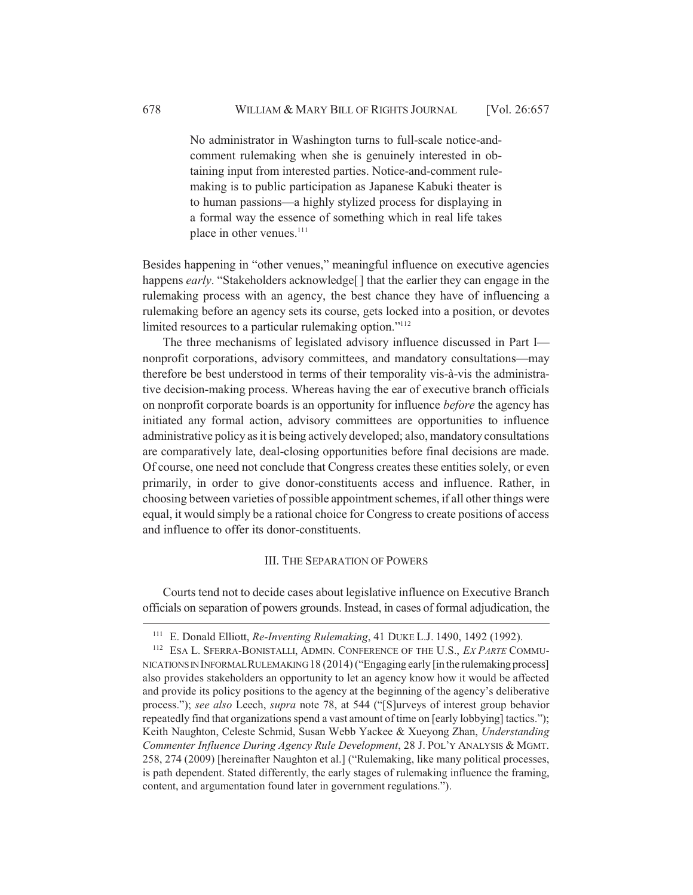No administrator in Washington turns to full-scale notice-andcomment rulemaking when she is genuinely interested in obtaining input from interested parties. Notice-and-comment rulemaking is to public participation as Japanese Kabuki theater is to human passions—a highly stylized process for displaying in a formal way the essence of something which in real life takes place in other venues.<sup>111</sup>

Besides happening in "other venues," meaningful influence on executive agencies happens *early*. "Stakeholders acknowledge<sup>[]</sup> that the earlier they can engage in the rulemaking process with an agency, the best chance they have of influencing a rulemaking before an agency sets its course, gets locked into a position, or devotes limited resources to a particular rulemaking option."<sup>112</sup>

The three mechanisms of legislated advisory influence discussed in Part I nonprofit corporations, advisory committees, and mandatory consultations—may therefore be best understood in terms of their temporality vis-à-vis the administrative decision-making process. Whereas having the ear of executive branch officials on nonprofit corporate boards is an opportunity for influence *before* the agency has initiated any formal action, advisory committees are opportunities to influence administrative policy as it is being actively developed; also, mandatory consultations are comparatively late, deal-closing opportunities before final decisions are made. Of course, one need not conclude that Congress creates these entities solely, or even primarily, in order to give donor-constituents access and influence. Rather, in choosing between varieties of possible appointment schemes, if all other things were equal, it would simply be a rational choice for Congress to create positions of access and influence to offer its donor-constituents.

#### III. THE SEPARATION OF POWERS

Courts tend not to decide cases about legislative influence on Executive Branch officials on separation of powers grounds. Instead, in cases of formal adjudication, the

<sup>111</sup> E. Donald Elliott, *Re-Inventing Rulemaking*, 41 DUKE L.J. 1490, 1492 (1992).

<sup>112</sup> ESA L. SFERRA-BONISTALLI, ADMIN. CONFERENCE OF THE U.S., *EX PARTE* COMMU-NICATIONS IN INFORMAL RULEMAKING 18 (2014) ("Engaging early [in the rulemaking process] also provides stakeholders an opportunity to let an agency know how it would be affected and provide its policy positions to the agency at the beginning of the agency's deliberative process."); *see also* Leech, *supra* note 78, at 544 ("[S]urveys of interest group behavior repeatedly find that organizations spend a vast amount of time on [early lobbying] tactics."); Keith Naughton, Celeste Schmid, Susan Webb Yackee & Xueyong Zhan, *Understanding Commenter Influence During Agency Rule Development*, 28 J. POL'Y ANALYSIS & MGMT. 258, 274 (2009) [hereinafter Naughton et al.] ("Rulemaking, like many political processes, is path dependent. Stated differently, the early stages of rulemaking influence the framing, content, and argumentation found later in government regulations.").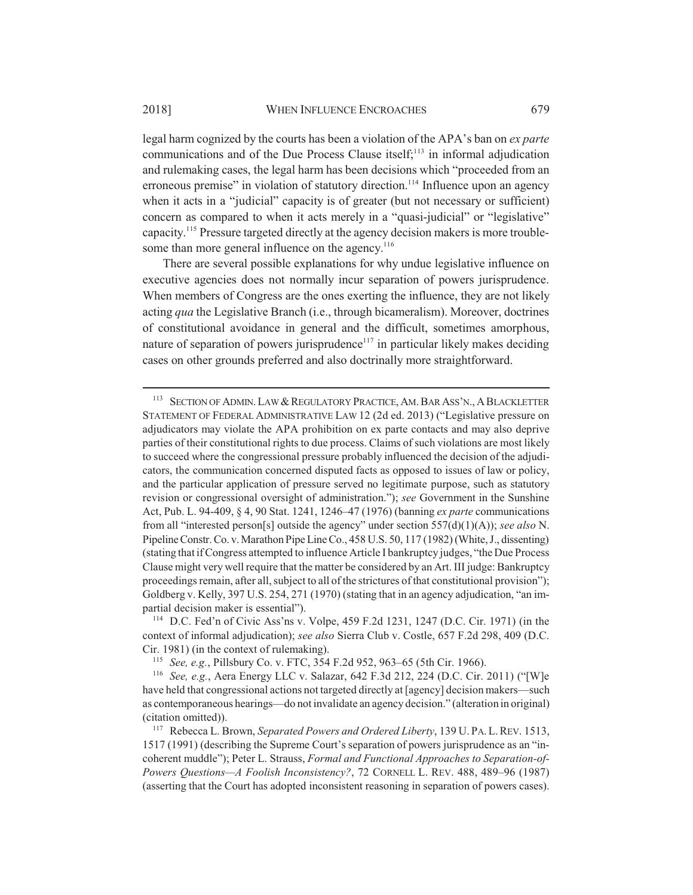legal harm cognized by the courts has been a violation of the APA's ban on *ex parte* communications and of the Due Process Clause itself; $113$  in informal adjudication and rulemaking cases, the legal harm has been decisions which "proceeded from an erroneous premise" in violation of statutory direction.<sup>114</sup> Influence upon an agency when it acts in a "judicial" capacity is of greater (but not necessary or sufficient) concern as compared to when it acts merely in a "quasi-judicial" or "legislative" capacity.115 Pressure targeted directly at the agency decision makers is more troublesome than more general influence on the agency.<sup>116</sup>

There are several possible explanations for why undue legislative influence on executive agencies does not normally incur separation of powers jurisprudence. When members of Congress are the ones exerting the influence, they are not likely acting *qua* the Legislative Branch (i.e., through bicameralism). Moreover, doctrines of constitutional avoidance in general and the difficult, sometimes amorphous, nature of separation of powers jurisprudence $117$  in particular likely makes deciding cases on other grounds preferred and also doctrinally more straightforward.

<sup>&</sup>lt;sup>113</sup> SECTION OF ADMIN. LAW & REGULATORY PRACTICE, AM. BAR ASS'N., A BLACKLETTER STATEMENT OF FEDERAL ADMINISTRATIVE LAW 12 (2d ed. 2013) ("Legislative pressure on adjudicators may violate the APA prohibition on ex parte contacts and may also deprive parties of their constitutional rights to due process. Claims of such violations are most likely to succeed where the congressional pressure probably influenced the decision of the adjudicators, the communication concerned disputed facts as opposed to issues of law or policy, and the particular application of pressure served no legitimate purpose, such as statutory revision or congressional oversight of administration."); *see* Government in the Sunshine Act, Pub. L. 94-409, § 4, 90 Stat. 1241, 1246–47 (1976) (banning *ex parte* communications from all "interested person[s] outside the agency" under section 557(d)(1)(A)); *see also* N. Pipeline Constr. Co. v. Marathon Pipe Line Co., 458 U.S. 50, 117 (1982) (White, J., dissenting) (stating that if Congress attempted to influence Article I bankruptcy judges, "the Due Process Clause might very well require that the matter be considered by an Art. III judge: Bankruptcy proceedings remain, after all, subject to all of the strictures of that constitutional provision"); Goldberg v. Kelly, 397 U.S. 254, 271 (1970) (stating that in an agency adjudication, "an impartial decision maker is essential").

<sup>114</sup> D.C. Fed'n of Civic Ass'ns v. Volpe, 459 F.2d 1231, 1247 (D.C. Cir. 1971) (in the context of informal adjudication); *see also* Sierra Club v. Costle, 657 F.2d 298, 409 (D.C. Cir. 1981) (in the context of rulemaking).

<sup>115</sup> *See, e.g.*, Pillsbury Co. v. FTC, 354 F.2d 952, 963–65 (5th Cir. 1966).

<sup>116</sup> *See, e.g.*, Aera Energy LLC v. Salazar, 642 F.3d 212, 224 (D.C. Cir. 2011) ("[W]e have held that congressional actions not targeted directly at [agency] decision makers—such as contemporaneous hearings—do not invalidate an agency decision." (alteration in original) (citation omitted)).

<sup>117</sup> Rebecca L. Brown, *Separated Powers and Ordered Liberty*, 139 U. PA.L.REV. 1513, 1517 (1991) (describing the Supreme Court's separation of powers jurisprudence as an "incoherent muddle"); Peter L. Strauss, *Formal and Functional Approaches to Separation-of-Powers Questions—A Foolish Inconsistency?*, 72 CORNELL L. REV. 488, 489–96 (1987) (asserting that the Court has adopted inconsistent reasoning in separation of powers cases).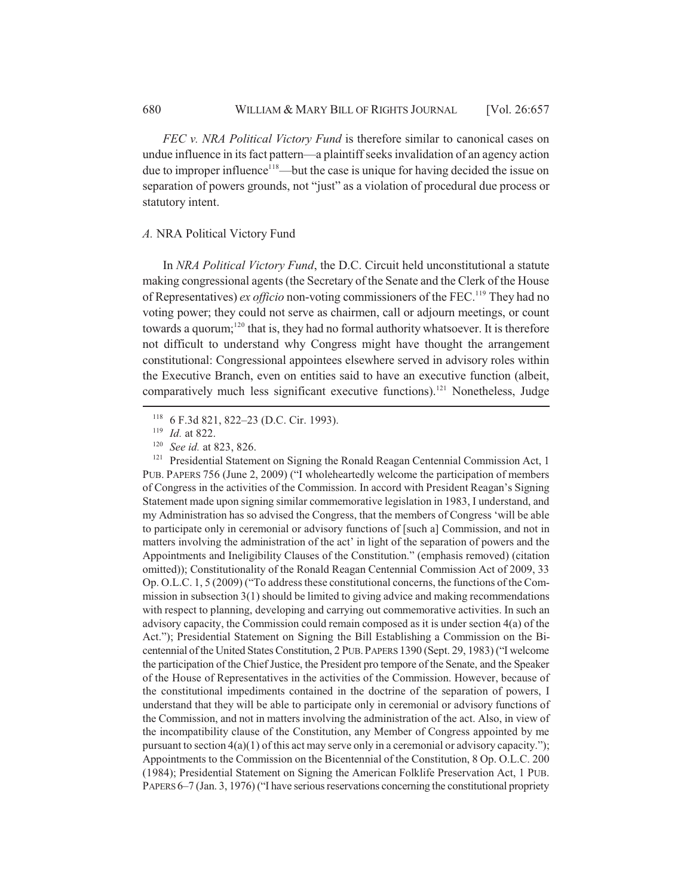*FEC v. NRA Political Victory Fund* is therefore similar to canonical cases on undue influence in its fact pattern—a plaintiff seeks invalidation of an agency action due to improper influence<sup>118</sup>—but the case is unique for having decided the issue on separation of powers grounds, not "just" as a violation of procedural due process or statutory intent.

#### *A.* NRA Political Victory Fund

In *NRA Political Victory Fund*, the D.C. Circuit held unconstitutional a statute making congressional agents (the Secretary of the Senate and the Clerk of the House of Representatives) *ex officio* non-voting commissioners of the FEC.119 They had no voting power; they could not serve as chairmen, call or adjourn meetings, or count towards a quorum;<sup>120</sup> that is, they had no formal authority whatsoever. It is therefore not difficult to understand why Congress might have thought the arrangement constitutional: Congressional appointees elsewhere served in advisory roles within the Executive Branch, even on entities said to have an executive function (albeit, comparatively much less significant executive functions).121 Nonetheless, Judge

<sup>121</sup> Presidential Statement on Signing the Ronald Reagan Centennial Commission Act, 1 PUB. PAPERS 756 (June 2, 2009) ("I wholeheartedly welcome the participation of members of Congress in the activities of the Commission. In accord with President Reagan's Signing Statement made upon signing similar commemorative legislation in 1983, I understand, and my Administration has so advised the Congress, that the members of Congress 'will be able to participate only in ceremonial or advisory functions of [such a] Commission, and not in matters involving the administration of the act' in light of the separation of powers and the Appointments and Ineligibility Clauses of the Constitution." (emphasis removed) (citation omitted)); Constitutionality of the Ronald Reagan Centennial Commission Act of 2009, 33 Op. O.L.C. 1, 5 (2009) ("To address these constitutional concerns, the functions of the Commission in subsection 3(1) should be limited to giving advice and making recommendations with respect to planning, developing and carrying out commemorative activities. In such an advisory capacity, the Commission could remain composed as it is under section 4(a) of the Act."); Presidential Statement on Signing the Bill Establishing a Commission on the Bicentennial of the United States Constitution, 2 PUB.PAPERS 1390 (Sept. 29, 1983) ("I welcome the participation of the Chief Justice, the President pro tempore of the Senate, and the Speaker of the House of Representatives in the activities of the Commission. However, because of the constitutional impediments contained in the doctrine of the separation of powers, I understand that they will be able to participate only in ceremonial or advisory functions of the Commission, and not in matters involving the administration of the act. Also, in view of the incompatibility clause of the Constitution, any Member of Congress appointed by me pursuant to section  $4(a)(1)$  of this act may serve only in a ceremonial or advisory capacity."); Appointments to the Commission on the Bicentennial of the Constitution, 8 Op. O.L.C. 200 (1984); Presidential Statement on Signing the American Folklife Preservation Act, 1 PUB. PAPERS 6–7 (Jan. 3, 1976) ("I have serious reservations concerning the constitutional propriety

<sup>118</sup> 6 F.3d 821, 822–23 (D.C. Cir. 1993).

<sup>119</sup> *Id.* at 822.

<sup>120</sup> *See id.* at 823, 826.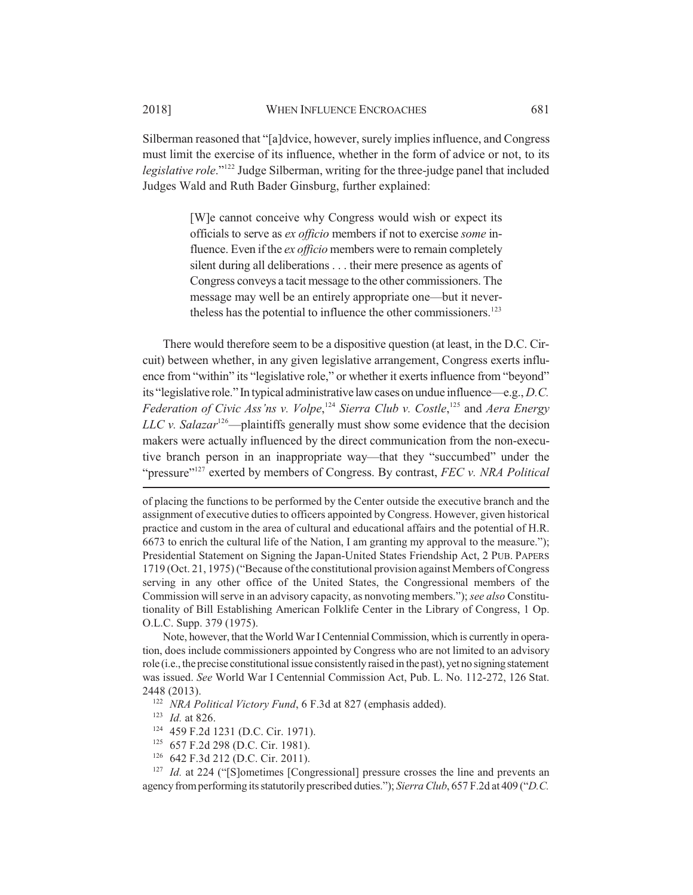Silberman reasoned that "[a]dvice, however, surely implies influence, and Congress must limit the exercise of its influence, whether in the form of advice or not, to its *legislative role*."122 Judge Silberman, writing for the three-judge panel that included Judges Wald and Ruth Bader Ginsburg, further explained:

> [W]e cannot conceive why Congress would wish or expect its officials to serve as *ex officio* members if not to exercise *some* influence. Even if the *ex officio* members were to remain completely silent during all deliberations . . . their mere presence as agents of Congress conveys a tacit message to the other commissioners. The message may well be an entirely appropriate one—but it nevertheless has the potential to influence the other commissioners.<sup>123</sup>

There would therefore seem to be a dispositive question (at least, in the D.C. Circuit) between whether, in any given legislative arrangement, Congress exerts influence from "within" its "legislative role," or whether it exerts influence from "beyond" its "legislative role." In typical administrative law cases on undue influence—e.g., *D.C. Federation of Civic Ass'ns v. Volpe*, <sup>124</sup> *Sierra Club v. Costle*, 125 and *Aera Energy LLC v. Salazar*<sup>126</sup>—plaintiffs generally must show some evidence that the decision makers were actually influenced by the direct communication from the non-executive branch person in an inappropriate way—that they "succumbed" under the "pressure"<sup>127</sup> exerted by members of Congress. By contrast, *FEC v. NRA Political* 

of placing the functions to be performed by the Center outside the executive branch and the assignment of executive duties to officers appointed by Congress. However, given historical practice and custom in the area of cultural and educational affairs and the potential of H.R. 6673 to enrich the cultural life of the Nation, I am granting my approval to the measure."); Presidential Statement on Signing the Japan-United States Friendship Act, 2 PUB. PAPERS 1719 (Oct. 21, 1975) ("Because of the constitutional provision against Members of Congress serving in any other office of the United States, the Congressional members of the Commission will serve in an advisory capacity, as nonvoting members."); *see also* Constitutionality of Bill Establishing American Folklife Center in the Library of Congress, 1 Op. O.L.C. Supp. 379 (1975).

Note, however, that the World War I Centennial Commission, which is currently in operation, does include commissioners appointed by Congress who are not limited to an advisory role (i.e., the precise constitutional issue consistently raised in the past), yet no signing statement was issued. *See* World War I Centennial Commission Act, Pub. L. No. 112-272, 126 Stat. 2448 (2013).

<sup>122</sup> *NRA Political Victory Fund*, 6 F.3d at 827 (emphasis added).

<sup>123</sup> *Id.* at 826.

- <sup>124</sup> 459 F.2d 1231 (D.C. Cir. 1971).
- <sup>125</sup> 657 F.2d 298 (D.C. Cir. 1981).
- <sup>126</sup> 642 F.3d 212 (D.C. Cir. 2011).

<sup>127</sup> *Id.* at 224 ("[S]ometimes [Congressional] pressure crosses the line and prevents an agency from performing its statutorily prescribed duties."); *Sierra Club*, 657 F.2d at 409 ("*D.C.*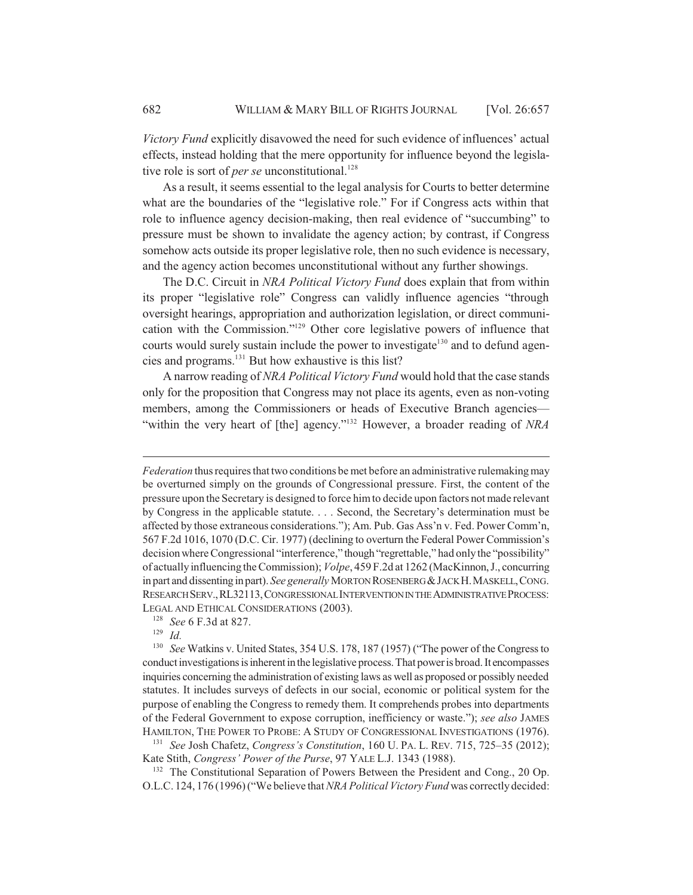*Victory Fund* explicitly disavowed the need for such evidence of influences' actual effects, instead holding that the mere opportunity for influence beyond the legislative role is sort of *per se* unconstitutional.<sup>128</sup>

As a result, it seems essential to the legal analysis for Courts to better determine what are the boundaries of the "legislative role." For if Congress acts within that role to influence agency decision-making, then real evidence of "succumbing" to pressure must be shown to invalidate the agency action; by contrast, if Congress somehow acts outside its proper legislative role, then no such evidence is necessary, and the agency action becomes unconstitutional without any further showings.

The D.C. Circuit in *NRA Political Victory Fund* does explain that from within its proper "legislative role" Congress can validly influence agencies "through oversight hearings, appropriation and authorization legislation, or direct communication with the Commission."129 Other core legislative powers of influence that courts would surely sustain include the power to investigate<sup>130</sup> and to defund agencies and programs.131 But how exhaustive is this list?

A narrow reading of *NRA Political Victory Fund* would hold that the case stands only for the proposition that Congress may not place its agents, even as non-voting members, among the Commissioners or heads of Executive Branch agencies— "within the very heart of [the] agency."132 However, a broader reading of *NRA*

<sup>129</sup> *Id.*

<sup>132</sup> The Constitutional Separation of Powers Between the President and Cong., 20 Op. O.L.C. 124, 176 (1996) ("We believe that *NRA Political Victory Fund* was correctly decided:

*Federation* thus requires that two conditions be met before an administrative rulemaking may be overturned simply on the grounds of Congressional pressure. First, the content of the pressure upon the Secretary is designed to force him to decide upon factors not made relevant by Congress in the applicable statute. . . . Second, the Secretary's determination must be affected by those extraneous considerations."); Am. Pub. Gas Ass'n v. Fed. Power Comm'n, 567 F.2d 1016, 1070 (D.C. Cir. 1977) (declining to overturn the Federal Power Commission's decision where Congressional "interference," though "regrettable," had only the "possibility" of actually influencing the Commission); *Volpe*, 459 F.2d at 1262 (MacKinnon, J., concurring in part and dissenting in part). *See generally* MORTON ROSENBERG & JACK H. MASKELL, CONG. RESEARCH SERV.,RL32113,CONGRESSIONAL INTERVENTION IN THE ADMINISTRATIVE PROCESS: LEGAL AND ETHICAL CONSIDERATIONS (2003).

<sup>128</sup> *See* 6 F.3d at 827.

<sup>130</sup> *See* Watkins v. United States, 354 U.S. 178, 187 (1957) ("The power of the Congress to conduct investigations is inherent in the legislative process. That power is broad. It encompasses inquiries concerning the administration of existing laws as well as proposed or possibly needed statutes. It includes surveys of defects in our social, economic or political system for the purpose of enabling the Congress to remedy them. It comprehends probes into departments of the Federal Government to expose corruption, inefficiency or waste."); *see also* JAMES HAMILTON, THE POWER TO PROBE: A STUDY OF CONGRESSIONAL INVESTIGATIONS (1976).

<sup>131</sup> *See* Josh Chafetz, *Congress's Constitution*, 160 U. PA. L. REV. 715, 725–35 (2012); Kate Stith, *Congress' Power of the Purse*, 97 YALE L.J. 1343 (1988).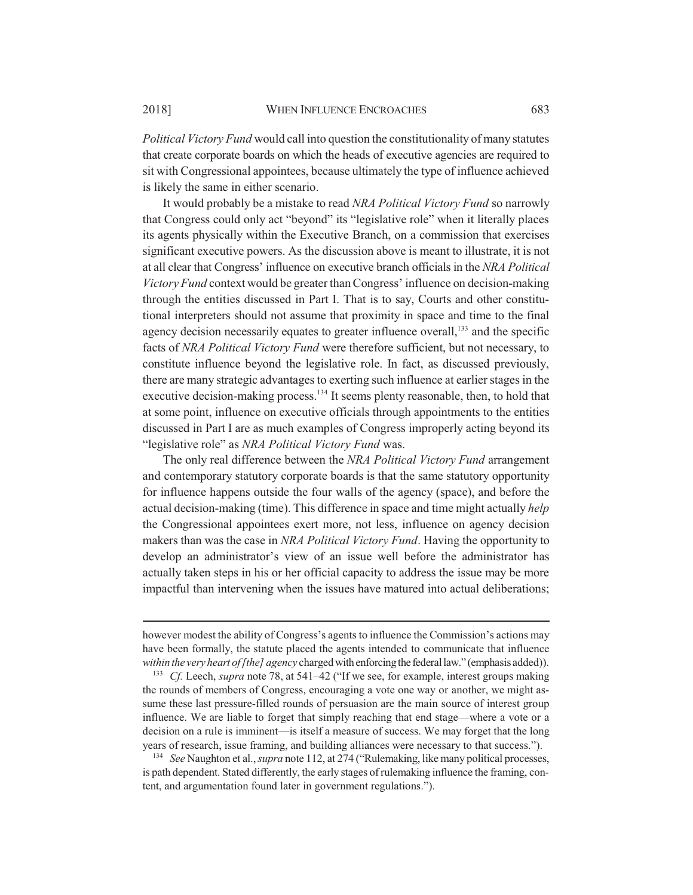*Political Victory Fund* would call into question the constitutionality of many statutes that create corporate boards on which the heads of executive agencies are required to sit with Congressional appointees, because ultimately the type of influence achieved is likely the same in either scenario.

It would probably be a mistake to read *NRA Political Victory Fund* so narrowly that Congress could only act "beyond" its "legislative role" when it literally places its agents physically within the Executive Branch, on a commission that exercises significant executive powers. As the discussion above is meant to illustrate, it is not at all clear that Congress' influence on executive branch officials in the *NRA Political Victory Fund* context would be greater than Congress' influence on decision-making through the entities discussed in Part I. That is to say, Courts and other constitutional interpreters should not assume that proximity in space and time to the final agency decision necessarily equates to greater influence overall,<sup>133</sup> and the specific facts of *NRA Political Victory Fund* were therefore sufficient, but not necessary, to constitute influence beyond the legislative role. In fact, as discussed previously, there are many strategic advantages to exerting such influence at earlier stages in the executive decision-making process.<sup>134</sup> It seems plenty reasonable, then, to hold that at some point, influence on executive officials through appointments to the entities discussed in Part I are as much examples of Congress improperly acting beyond its "legislative role" as *NRA Political Victory Fund* was.

The only real difference between the *NRA Political Victory Fund* arrangement and contemporary statutory corporate boards is that the same statutory opportunity for influence happens outside the four walls of the agency (space), and before the actual decision-making (time). This difference in space and time might actually *help* the Congressional appointees exert more, not less, influence on agency decision makers than was the case in *NRA Political Victory Fund*. Having the opportunity to develop an administrator's view of an issue well before the administrator has actually taken steps in his or her official capacity to address the issue may be more impactful than intervening when the issues have matured into actual deliberations;

<sup>134</sup> *See* Naughton et al., *supra* note 112, at 274 ("Rulemaking, like many political processes, is path dependent. Stated differently, the early stages of rulemaking influence the framing, content, and argumentation found later in government regulations.").

however modest the ability of Congress's agents to influence the Commission's actions may have been formally, the statute placed the agents intended to communicate that influence *within the very heart of [the] agency* charged with enforcing the federal law." (emphasis added)).

<sup>133</sup> *Cf.* Leech, *supra* note 78, at 541–42 ("If we see, for example, interest groups making the rounds of members of Congress, encouraging a vote one way or another, we might assume these last pressure-filled rounds of persuasion are the main source of interest group influence. We are liable to forget that simply reaching that end stage—where a vote or a decision on a rule is imminent—is itself a measure of success. We may forget that the long years of research, issue framing, and building alliances were necessary to that success.").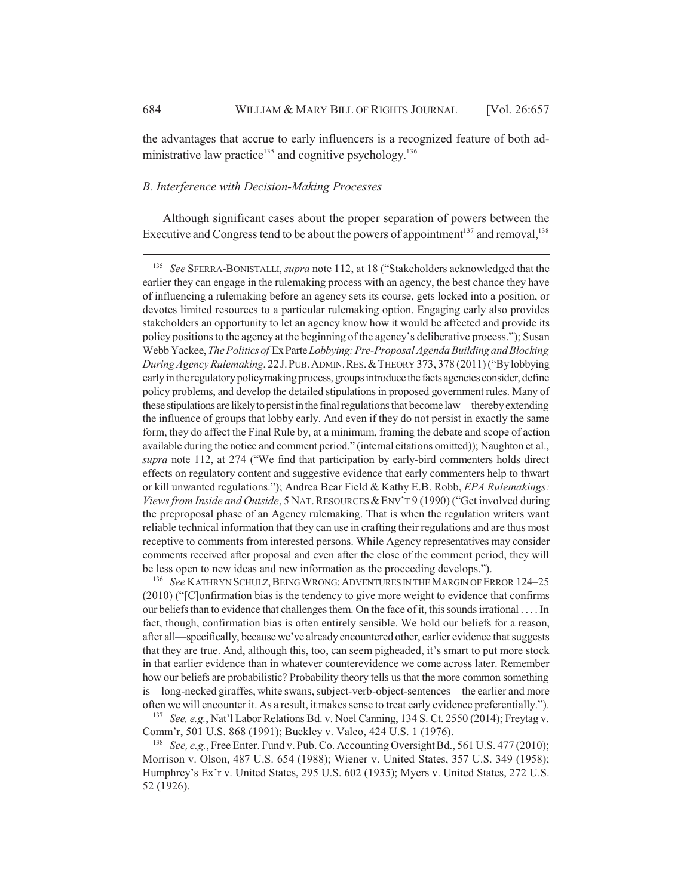the advantages that accrue to early influencers is a recognized feature of both administrative law practice<sup>135</sup> and cognitive psychology.<sup>136</sup>

## *B. Interference with Decision-Making Processes*

Although significant cases about the proper separation of powers between the Executive and Congress tend to be about the powers of appointment<sup>137</sup> and removal,  $138$ 

<sup>136</sup> See KATHRYN SCHULZ, BEING WRONG: ADVENTURES IN THE MARGIN OF ERROR 124-25 (2010) ("[C]onfirmation bias is the tendency to give more weight to evidence that confirms our beliefs than to evidence that challenges them. On the face of it, this sounds irrational . . . . In fact, though, confirmation bias is often entirely sensible. We hold our beliefs for a reason, after all—specifically, because we've already encountered other, earlier evidence that suggests that they are true. And, although this, too, can seem pigheaded, it's smart to put more stock in that earlier evidence than in whatever counterevidence we come across later. Remember how our beliefs are probabilistic? Probability theory tells us that the more common something is—long-necked giraffes, white swans, subject-verb-object-sentences—the earlier and more often we will encounter it. As a result, it makes sense to treat early evidence preferentially.").

<sup>137</sup> *See, e.g.*, Nat'l Labor Relations Bd. v. Noel Canning, 134 S. Ct. 2550 (2014); Freytag v. Comm'r, 501 U.S. 868 (1991); Buckley v. Valeo, 424 U.S. 1 (1976).

<sup>138</sup> *See, e.g.*, Free Enter. Fund v. Pub. Co. Accounting Oversight Bd., 561 U.S. 477 (2010); Morrison v. Olson, 487 U.S. 654 (1988); Wiener v. United States, 357 U.S. 349 (1958); Humphrey's Ex'r v. United States, 295 U.S. 602 (1935); Myers v. United States, 272 U.S. 52 (1926).

<sup>135</sup> *See* SFERRA-BONISTALLI, *supra* note 112, at 18 ("Stakeholders acknowledged that the earlier they can engage in the rulemaking process with an agency, the best chance they have of influencing a rulemaking before an agency sets its course, gets locked into a position, or devotes limited resources to a particular rulemaking option. Engaging early also provides stakeholders an opportunity to let an agency know how it would be affected and provide its policy positions to the agency at the beginning of the agency's deliberative process."); Susan Webb Yackee, *The Politics of* Ex Parte *Lobbying: Pre-Proposal Agenda Building and Blocking During Agency Rulemaking*, 22J.PUB.ADMIN.RES.&THEORY 373, 378 (2011) ("By lobbying early in the regulatory policymaking process, groups introduce the facts agencies consider, define policy problems, and develop the detailed stipulations in proposed government rules. Many of these stipulations are likely to persist in the final regulations that become law—thereby extending the influence of groups that lobby early. And even if they do not persist in exactly the same form, they do affect the Final Rule by, at a minimum, framing the debate and scope of action available during the notice and comment period." (internal citations omitted)); Naughton et al., *supra* note 112, at 274 ("We find that participation by early-bird commenters holds direct effects on regulatory content and suggestive evidence that early commenters help to thwart or kill unwanted regulations."); Andrea Bear Field & Kathy E.B. Robb, *EPA Rulemakings: Views from Inside and Outside*, 5 NAT. RESOURCES & ENV'T 9 (1990) ("Get involved during the preproposal phase of an Agency rulemaking. That is when the regulation writers want reliable technical information that they can use in crafting their regulations and are thus most receptive to comments from interested persons. While Agency representatives may consider comments received after proposal and even after the close of the comment period, they will be less open to new ideas and new information as the proceeding develops.").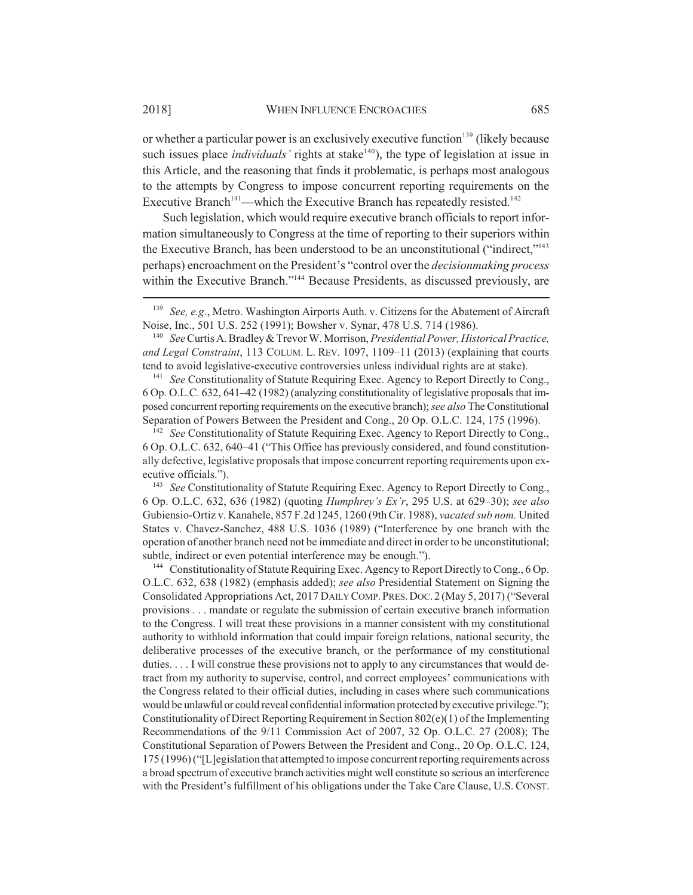or whether a particular power is an exclusively executive function<sup>139</sup> (likely because such issues place *individuals'* rights at stake<sup>140</sup>), the type of legislation at issue in this Article, and the reasoning that finds it problematic, is perhaps most analogous to the attempts by Congress to impose concurrent reporting requirements on the Executive Branch<sup> $141$ </sup>—which the Executive Branch has repeatedly resisted.<sup>142</sup>

Such legislation, which would require executive branch officials to report information simultaneously to Congress at the time of reporting to their superiors within the Executive Branch, has been understood to be an unconstitutional ("indirect."<sup>143</sup> perhaps) encroachment on the President's "control over the *decisionmaking process* within the Executive Branch."<sup>144</sup> Because Presidents, as discussed previously, are

<sup>141</sup> *See* Constitutionality of Statute Requiring Exec. Agency to Report Directly to Cong., 6 Op. O.L.C. 632, 641–42 (1982) (analyzing constitutionality of legislative proposals that imposed concurrent reporting requirements on the executive branch); *see also* The Constitutional Separation of Powers Between the President and Cong., 20 Op. O.L.C. 124, 175 (1996).

<sup>142</sup> *See* Constitutionality of Statute Requiring Exec. Agency to Report Directly to Cong., 6 Op. O.L.C. 632, 640–41 ("This Office has previously considered, and found constitutionally defective, legislative proposals that impose concurrent reporting requirements upon executive officials.").

<sup>143</sup> *See* Constitutionality of Statute Requiring Exec. Agency to Report Directly to Cong., 6 Op. O.L.C. 632, 636 (1982) (quoting *Humphrey's Ex'r*, 295 U.S. at 629–30); *see also* Gubiensio-Ortiz v. Kanahele, 857 F.2d 1245, 1260 (9th Cir. 1988), *vacated sub nom.* United States v. Chavez-Sanchez, 488 U.S. 1036 (1989) ("Interference by one branch with the operation of another branch need not be immediate and direct in order to be unconstitutional; subtle, indirect or even potential interference may be enough.").

<sup>144</sup> Constitutionality of Statute Requiring Exec. Agency to Report Directly to Cong., 6 Op. O.L.C. 632, 638 (1982) (emphasis added); *see also* Presidential Statement on Signing the Consolidated Appropriations Act, 2017 DAILY COMP.PRES.DOC. 2 (May 5, 2017) ("Several provisions . . . mandate or regulate the submission of certain executive branch information to the Congress. I will treat these provisions in a manner consistent with my constitutional authority to withhold information that could impair foreign relations, national security, the deliberative processes of the executive branch, or the performance of my constitutional duties. . . . I will construe these provisions not to apply to any circumstances that would detract from my authority to supervise, control, and correct employees' communications with the Congress related to their official duties, including in cases where such communications would be unlawful or could reveal confidential information protected by executive privilege."); Constitutionality of Direct Reporting Requirement in Section  $802(e)(1)$  of the Implementing Recommendations of the 9/11 Commission Act of 2007, 32 Op. O.L.C. 27 (2008); The Constitutional Separation of Powers Between the President and Cong., 20 Op. O.L.C. 124, 175 (1996) ("[L]egislation that attempted to impose concurrent reporting requirements across a broad spectrum of executive branch activities might well constitute so serious an interference with the President's fulfillment of his obligations under the Take Care Clause, U.S. CONST.

<sup>139</sup> *See, e.g.*, Metro. Washington Airports Auth. v. Citizens for the Abatement of Aircraft Noise, Inc., 501 U.S. 252 (1991); Bowsher v. Synar, 478 U.S. 714 (1986).

<sup>140</sup> *See* Curtis A. Bradley & Trevor W. Morrison, *Presidential Power, Historical Practice, and Legal Constraint*, 113 COLUM. L. REV. 1097, 1109–11 (2013) (explaining that courts tend to avoid legislative-executive controversies unless individual rights are at stake).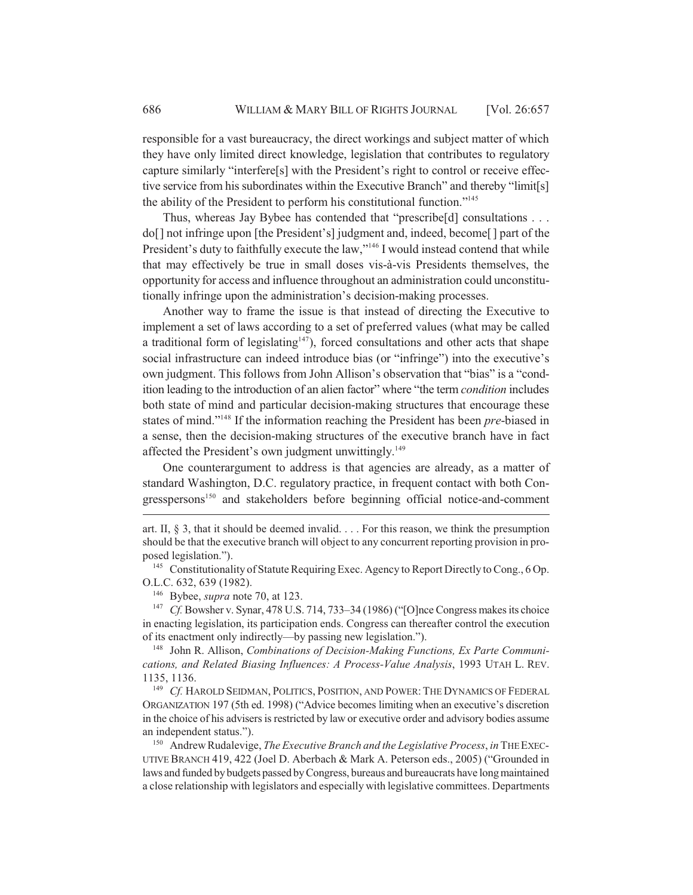responsible for a vast bureaucracy, the direct workings and subject matter of which they have only limited direct knowledge, legislation that contributes to regulatory capture similarly "interfere[s] with the President's right to control or receive effective service from his subordinates within the Executive Branch" and thereby "limit[s] the ability of the President to perform his constitutional function."145

Thus, whereas Jay Bybee has contended that "prescribe[d] consultations . . . do[] not infringe upon [the President's] judgment and, indeed, become[ ] part of the President's duty to faithfully execute the law,"<sup>146</sup> I would instead contend that while that may effectively be true in small doses vis-à-vis Presidents themselves, the opportunity for access and influence throughout an administration could unconstitutionally infringe upon the administration's decision-making processes.

Another way to frame the issue is that instead of directing the Executive to implement a set of laws according to a set of preferred values (what may be called a traditional form of legislating<sup>147</sup>), forced consultations and other acts that shape social infrastructure can indeed introduce bias (or "infringe") into the executive's own judgment. This follows from John Allison's observation that "bias" is a "condition leading to the introduction of an alien factor" where "the term *condition* includes both state of mind and particular decision-making structures that encourage these states of mind."148 If the information reaching the President has been *pre*-biased in a sense, then the decision-making structures of the executive branch have in fact affected the President's own judgment unwittingly.<sup>149</sup>

One counterargument to address is that agencies are already, as a matter of standard Washington, D.C. regulatory practice, in frequent contact with both Congresspersons<sup>150</sup> and stakeholders before beginning official notice-and-comment

art. II, § 3, that it should be deemed invalid. . . . For this reason, we think the presumption should be that the executive branch will object to any concurrent reporting provision in proposed legislation.").

<sup>&</sup>lt;sup>145</sup> Constitutionality of Statute Requiring Exec. Agency to Report Directly to Cong., 6 Op. O.L.C. 632, 639 (1982).

<sup>146</sup> Bybee, *supra* note 70, at 123.

<sup>&</sup>lt;sup>147</sup> *Cf.* Bowsher v. Synar, 478 U.S. 714, 733–34 (1986) ("[O]nce Congress makes its choice in enacting legislation, its participation ends. Congress can thereafter control the execution of its enactment only indirectly—by passing new legislation.").

<sup>148</sup> John R. Allison, *Combinations of Decision-Making Functions, Ex Parte Communications, and Related Biasing Influences: A Process-Value Analysis*, 1993 UTAH L. REV. 1135, 1136.

<sup>149</sup> *Cf.* HAROLD SEIDMAN, POLITICS, POSITION, AND POWER: THE DYNAMICS OF FEDERAL ORGANIZATION 197 (5th ed. 1998) ("Advice becomes limiting when an executive's discretion in the choice of his advisers is restricted by law or executive order and advisory bodies assume an independent status.").

<sup>150</sup> Andrew Rudalevige, *The Executive Branch and the Legislative Process*, *in* THE EXEC-UTIVE BRANCH 419, 422 (Joel D. Aberbach & Mark A. Peterson eds., 2005) ("Grounded in laws and funded by budgets passed by Congress, bureaus and bureaucrats have long maintained a close relationship with legislators and especially with legislative committees. Departments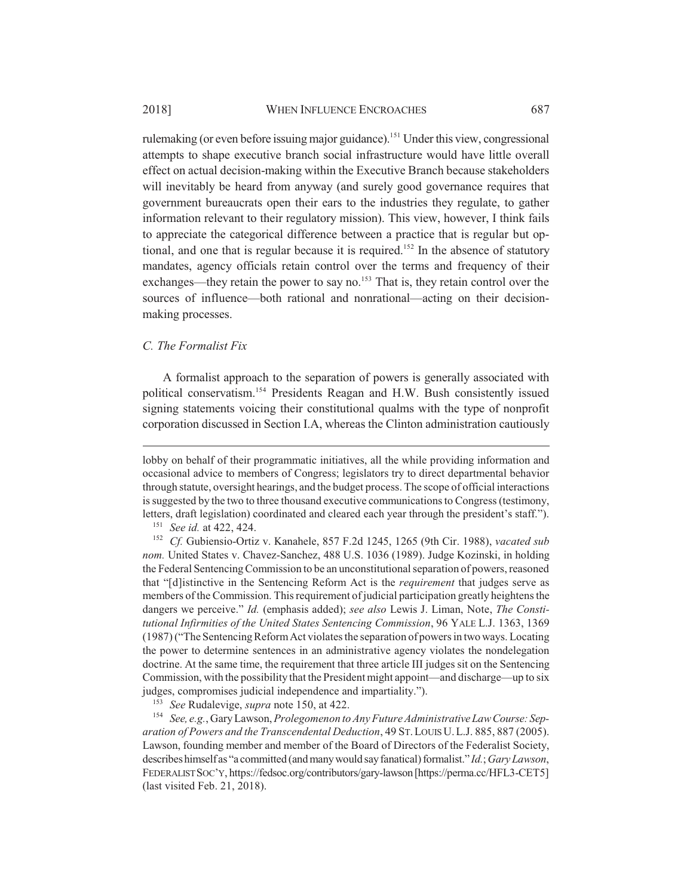rulemaking (or even before issuing major guidance).<sup>151</sup> Under this view, congressional attempts to shape executive branch social infrastructure would have little overall effect on actual decision-making within the Executive Branch because stakeholders will inevitably be heard from anyway (and surely good governance requires that government bureaucrats open their ears to the industries they regulate, to gather information relevant to their regulatory mission). This view, however, I think fails to appreciate the categorical difference between a practice that is regular but optional, and one that is regular because it is required.<sup>152</sup> In the absence of statutory mandates, agency officials retain control over the terms and frequency of their exchanges—they retain the power to say no.<sup>153</sup> That is, they retain control over the sources of influence—both rational and nonrational—acting on their decisionmaking processes.

#### *C. The Formalist Fix*

A formalist approach to the separation of powers is generally associated with political conservatism.154 Presidents Reagan and H.W. Bush consistently issued signing statements voicing their constitutional qualms with the type of nonprofit corporation discussed in Section I.A, whereas the Clinton administration cautiously

lobby on behalf of their programmatic initiatives, all the while providing information and occasional advice to members of Congress; legislators try to direct departmental behavior through statute, oversight hearings, and the budget process. The scope of official interactions is suggested by the two to three thousand executive communications to Congress (testimony, letters, draft legislation) coordinated and cleared each year through the president's staff.").

<sup>154</sup> *See, e.g.*, Gary Lawson, *Prolegomenon to Any Future Administrative Law Course: Separation of Powers and the Transcendental Deduction*, 49 ST.LOUIS U.L.J. 885, 887 (2005). Lawson, founding member and member of the Board of Directors of the Federalist Society, describes himself as "a committed (and many would say fanatical) formalist." *Id.*; *Gary Lawson*, FEDERALIST SOC'Y, https://fedsoc.org/contributors/gary-lawson [https://perma.cc/HFL3-CET5] (last visited Feb. 21, 2018).

<sup>151</sup> *See id.* at 422, 424.

<sup>152</sup> *Cf.* Gubiensio-Ortiz v. Kanahele, 857 F.2d 1245, 1265 (9th Cir. 1988), *vacated sub nom.* United States v. Chavez-Sanchez, 488 U.S. 1036 (1989). Judge Kozinski, in holding the Federal Sentencing Commission to be an unconstitutional separation of powers, reasoned that "[d]istinctive in the Sentencing Reform Act is the *requirement* that judges serve as members of the Commission. This requirement of judicial participation greatly heightens the dangers we perceive." *Id.* (emphasis added); *see also* Lewis J. Liman, Note, *The Constitutional Infirmities of the United States Sentencing Commission*, 96 YALE L.J. 1363, 1369 (1987) ("The Sentencing Reform Act violates the separation of powers in two ways. Locating the power to determine sentences in an administrative agency violates the nondelegation doctrine. At the same time, the requirement that three article III judges sit on the Sentencing Commission, with the possibility that the President might appoint—and discharge—up to six judges, compromises judicial independence and impartiality.").

<sup>153</sup> *See* Rudalevige, *supra* note 150, at 422.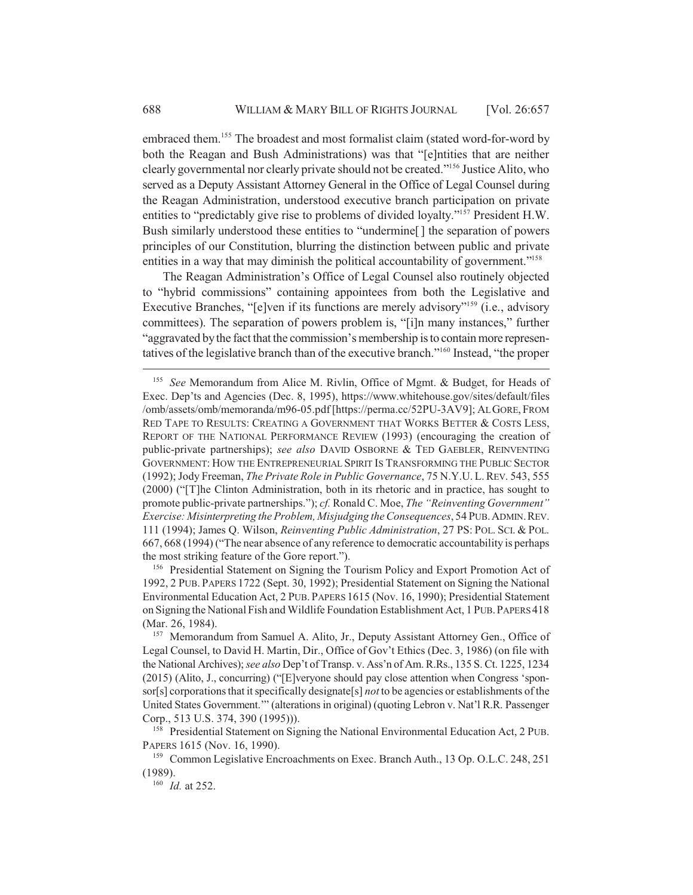embraced them.<sup>155</sup> The broadest and most formalist claim (stated word-for-word by both the Reagan and Bush Administrations) was that "[e]ntities that are neither clearly governmental nor clearly private should not be created."156 Justice Alito, who served as a Deputy Assistant Attorney General in the Office of Legal Counsel during the Reagan Administration, understood executive branch participation on private entities to "predictably give rise to problems of divided loyalty."157 President H.W. Bush similarly understood these entities to "undermine[ ] the separation of powers principles of our Constitution, blurring the distinction between public and private entities in a way that may diminish the political accountability of government."<sup>158</sup>

The Reagan Administration's Office of Legal Counsel also routinely objected to "hybrid commissions" containing appointees from both the Legislative and Executive Branches, "[e]ven if its functions are merely advisory"<sup>159</sup> (i.e., advisory committees). The separation of powers problem is, "[i]n many instances," further "aggravated by the fact that the commission's membership is to contain more representatives of the legislative branch than of the executive branch."160 Instead, "the proper

<sup>156</sup> Presidential Statement on Signing the Tourism Policy and Export Promotion Act of 1992, 2 PUB. PAPERS 1722 (Sept. 30, 1992); Presidential Statement on Signing the National Environmental Education Act, 2 PUB. PAPERS 1615 (Nov. 16, 1990); Presidential Statement on Signing the National Fish and Wildlife Foundation Establishment Act, 1 PUB.PAPERS 418 (Mar. 26, 1984).

<sup>155</sup> *See* Memorandum from Alice M. Rivlin, Office of Mgmt. & Budget, for Heads of Exec. Dep'ts and Agencies (Dec. 8, 1995), https://www.whitehouse.gov/sites/default/files /omb/assets/omb/memoranda/m96-05.pdf [https://perma.cc/52PU-3AV9]; AL GORE, FROM RED TAPE TO RESULTS: CREATING A GOVERNMENT THAT WORKS BETTER & COSTS LESS, REPORT OF THE NATIONAL PERFORMANCE REVIEW (1993) (encouraging the creation of public-private partnerships); *see also* DAVID OSBORNE & TED GAEBLER, REINVENTING GOVERNMENT: HOW THE ENTREPRENEURIAL SPIRIT IS TRANSFORMING THE PUBLIC SECTOR (1992); Jody Freeman, *The Private Role in Public Governance*, 75 N.Y.U. L.REV. 543, 555 (2000) ("[T]he Clinton Administration, both in its rhetoric and in practice, has sought to promote public-private partnerships."); *cf.* Ronald C. Moe, *The "Reinventing Government" Exercise: Misinterpreting the Problem, Misjudging the Consequences*, 54 PUB.ADMIN.REV. 111 (1994); James Q. Wilson, *Reinventing Public Administration*, 27 PS: POL. SCI. & POL. 667, 668 (1994) ("The near absence of any reference to democratic accountability is perhaps the most striking feature of the Gore report.").

<sup>&</sup>lt;sup>157</sup> Memorandum from Samuel A. Alito, Jr., Deputy Assistant Attorney Gen., Office of Legal Counsel, to David H. Martin, Dir., Office of Gov't Ethics (Dec. 3, 1986) (on file with the National Archives); *see also* Dep't of Transp. v. Ass'n of Am. R.Rs., 135 S. Ct. 1225, 1234 (2015) (Alito, J., concurring) ("[E]veryone should pay close attention when Congress 'sponsor[s] corporations that it specifically designate[s] *not* to be agencies or establishments of the United States Government.'" (alterations in original) (quoting Lebron v. Nat'l R.R. Passenger Corp., 513 U.S. 374, 390 (1995))).

<sup>&</sup>lt;sup>158</sup> Presidential Statement on Signing the National Environmental Education Act, 2 PUB. PAPERS 1615 (Nov. 16, 1990).

<sup>&</sup>lt;sup>159</sup> Common Legislative Encroachments on Exec. Branch Auth., 13 Op. O.L.C. 248, 251 (1989).

<sup>160</sup> *Id.* at 252.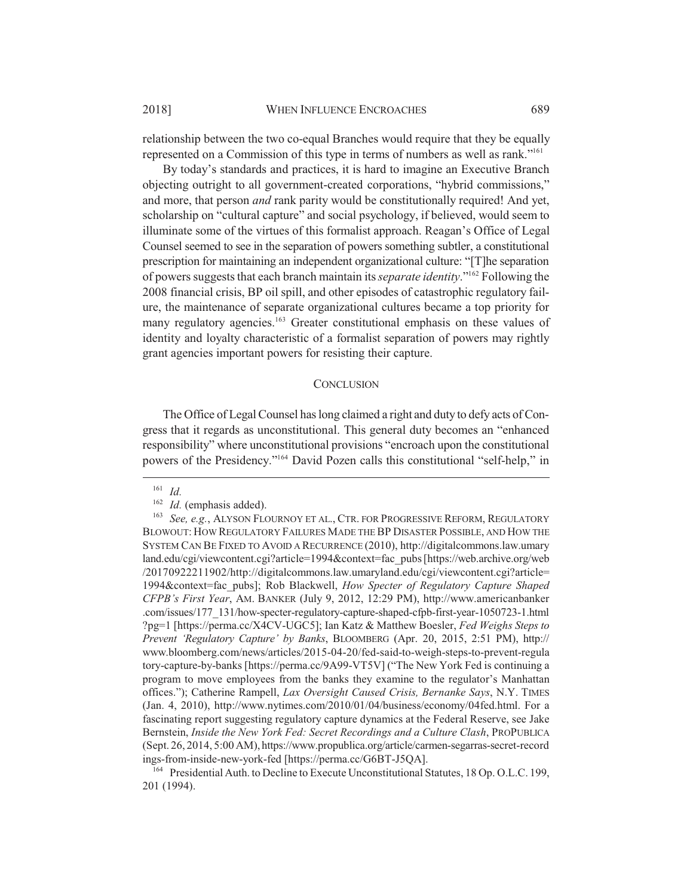relationship between the two co-equal Branches would require that they be equally represented on a Commission of this type in terms of numbers as well as rank."161

By today's standards and practices, it is hard to imagine an Executive Branch objecting outright to all government-created corporations, "hybrid commissions," and more, that person *and* rank parity would be constitutionally required! And yet, scholarship on "cultural capture" and social psychology, if believed, would seem to illuminate some of the virtues of this formalist approach. Reagan's Office of Legal Counsel seemed to see in the separation of powers something subtler, a constitutional prescription for maintaining an independent organizational culture: "[T]he separation of powers suggests that each branch maintain its *separate identity*."162 Following the 2008 financial crisis, BP oil spill, and other episodes of catastrophic regulatory failure, the maintenance of separate organizational cultures became a top priority for many regulatory agencies.<sup>163</sup> Greater constitutional emphasis on these values of identity and loyalty characteristic of a formalist separation of powers may rightly grant agencies important powers for resisting their capture.

#### **CONCLUSION**

The Office of Legal Counsel has long claimed a right and duty to defy acts of Congress that it regards as unconstitutional. This general duty becomes an "enhanced responsibility" where unconstitutional provisions "encroach upon the constitutional powers of the Presidency."164 David Pozen calls this constitutional "self-help," in

<sup>161</sup> *Id.*

<sup>&</sup>lt;sup>162</sup> *Id.* (emphasis added).

<sup>163</sup> *See, e.g.*, ALYSON FLOURNOY ET AL., CTR. FOR PROGRESSIVE REFORM, REGULATORY BLOWOUT: HOW REGULATORY FAILURES MADE THE BP DISASTER POSSIBLE, AND HOW THE SYSTEM CAN BE FIXED TO AVOID A RECURRENCE (2010), http://digitalcommons.law.umary land.edu/cgi/viewcontent.cgi?article=1994&context=fac\_pubs [https://web.archive.org/web /20170922211902/http://digitalcommons.law.umaryland.edu/cgi/viewcontent.cgi?article= 1994&context=fac\_pubs]; Rob Blackwell, *How Specter of Regulatory Capture Shaped CFPB's First Year*, AM. BANKER (July 9, 2012, 12:29 PM), http://www.americanbanker .com/issues/177\_131/how-specter-regulatory-capture-shaped-cfpb-first-year-1050723-1.html ?pg=1 [https://perma.cc/X4CV-UGC5]; Ian Katz & Matthew Boesler, *Fed Weighs Steps to Prevent 'Regulatory Capture' by Banks*, BLOOMBERG (Apr. 20, 2015, 2:51 PM), http:// www.bloomberg.com/news/articles/2015-04-20/fed-said-to-weigh-steps-to-prevent-regula tory-capture-by-banks [https://perma.cc/9A99-VT5V] ("The New York Fed is continuing a program to move employees from the banks they examine to the regulator's Manhattan offices."); Catherine Rampell, *Lax Oversight Caused Crisis, Bernanke Says*, N.Y. TIMES (Jan. 4, 2010), http://www.nytimes.com/2010/01/04/business/economy/04fed.html. For a fascinating report suggesting regulatory capture dynamics at the Federal Reserve, see Jake Bernstein, *Inside the New York Fed: Secret Recordings and a Culture Clash*, PROPUBLICA (Sept. 26, 2014, 5:00 AM), https://www.propublica.org/article/carmen-segarras-secret-record ings-from-inside-new-york-fed [https://perma.cc/G6BT-J5QA].

<sup>&</sup>lt;sup>164</sup> Presidential Auth. to Decline to Execute Unconstitutional Statutes, 18 Op. O.L.C. 199, 201 (1994).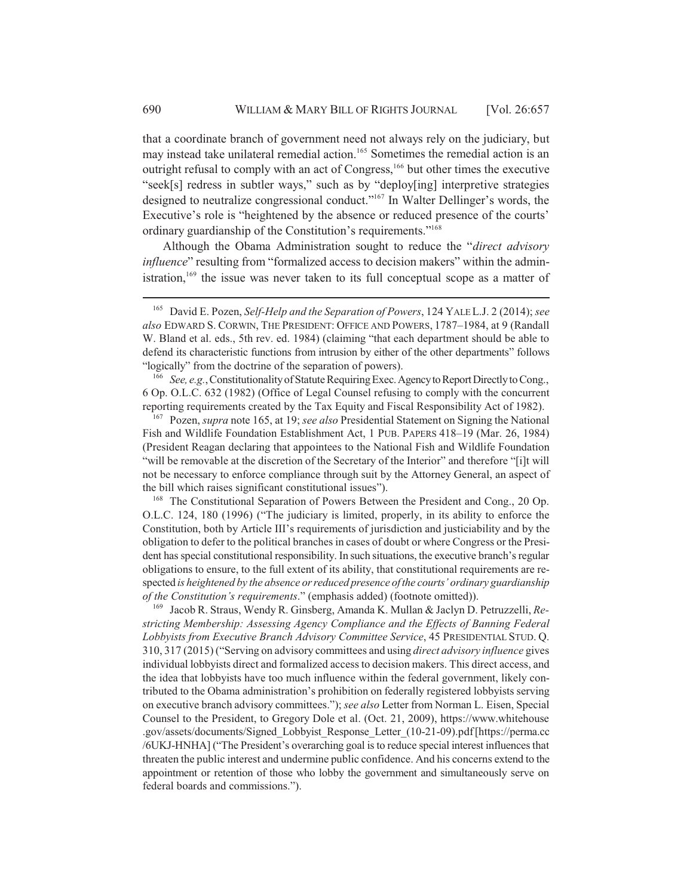that a coordinate branch of government need not always rely on the judiciary, but may instead take unilateral remedial action.<sup>165</sup> Sometimes the remedial action is an outright refusal to comply with an act of Congress,<sup>166</sup> but other times the executive "seek[s] redress in subtler ways," such as by "deploy[ing] interpretive strategies designed to neutralize congressional conduct."167 In Walter Dellinger's words, the Executive's role is "heightened by the absence or reduced presence of the courts' ordinary guardianship of the Constitution's requirements."168

Although the Obama Administration sought to reduce the "*direct advisory influence*" resulting from "formalized access to decision makers" within the administration,<sup>169</sup> the issue was never taken to its full conceptual scope as a matter of

<sup>166</sup> *See, e.g.*, Constitutionality of Statute Requiring Exec. Agency to Report Directly to Cong., 6 Op. O.L.C. 632 (1982) (Office of Legal Counsel refusing to comply with the concurrent reporting requirements created by the Tax Equity and Fiscal Responsibility Act of 1982).

<sup>167</sup> Pozen, *supra* note 165, at 19; *see also* Presidential Statement on Signing the National Fish and Wildlife Foundation Establishment Act, 1 PUB. PAPERS 418–19 (Mar. 26, 1984) (President Reagan declaring that appointees to the National Fish and Wildlife Foundation "will be removable at the discretion of the Secretary of the Interior" and therefore "[i]t will not be necessary to enforce compliance through suit by the Attorney General, an aspect of the bill which raises significant constitutional issues").

<sup>168</sup> The Constitutional Separation of Powers Between the President and Cong., 20 Op. O.L.C. 124, 180 (1996) ("The judiciary is limited, properly, in its ability to enforce the Constitution, both by Article III's requirements of jurisdiction and justiciability and by the obligation to defer to the political branches in cases of doubt or where Congress or the President has special constitutional responsibility. In such situations, the executive branch's regular obligations to ensure, to the full extent of its ability, that constitutional requirements are respected *is heightened by the absence or reduced presence of the courts' ordinary guardianship of the Constitution's requirements*." (emphasis added) (footnote omitted)).

<sup>169</sup> Jacob R. Straus, Wendy R. Ginsberg, Amanda K. Mullan & Jaclyn D. Petruzzelli, *Restricting Membership: Assessing Agency Compliance and the Effects of Banning Federal Lobbyists from Executive Branch Advisory Committee Service*, 45 PRESIDENTIAL STUD. Q. 310, 317 (2015) ("Serving on advisory committees and using *direct advisory influence* gives individual lobbyists direct and formalized access to decision makers. This direct access, and the idea that lobbyists have too much influence within the federal government, likely contributed to the Obama administration's prohibition on federally registered lobbyists serving on executive branch advisory committees."); *see also* Letter from Norman L. Eisen, Special Counsel to the President, to Gregory Dole et al. (Oct. 21, 2009), https://www.whitehouse .gov/assets/documents/Signed\_Lobbyist\_Response\_Letter\_(10-21-09).pdf [https://perma.cc /6UKJ-HNHA] ("The President's overarching goal is to reduce special interest influences that threaten the public interest and undermine public confidence. And his concerns extend to the appointment or retention of those who lobby the government and simultaneously serve on federal boards and commissions.").

<sup>165</sup> David E. Pozen, *Self-Help and the Separation of Powers*, 124 YALE L.J. 2 (2014); *see also* EDWARD S. CORWIN, THE PRESIDENT: OFFICE AND POWERS, 1787–1984, at 9 (Randall W. Bland et al. eds., 5th rev. ed. 1984) (claiming "that each department should be able to defend its characteristic functions from intrusion by either of the other departments" follows "logically" from the doctrine of the separation of powers).